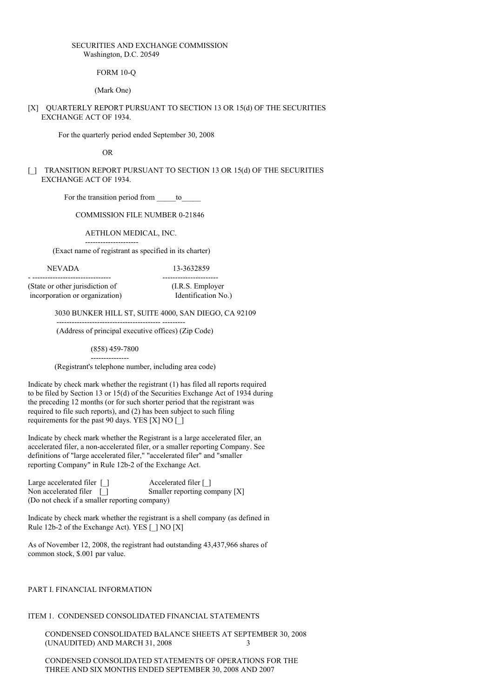#### SECURITIES AND EXCHANGE COMMISSION Washington, D.C. 20549

FORM 10-Q

(Mark One)

### [X] QUARTERLY REPORT PURSUANT TO SECTION 13 OR 15(d) OF THE SECURITIES EXCHANGE ACT OF 1934.

For the quarterly period ended September 30, 2008

OR

## [\_] TRANSITION REPORT PURSUANT TO SECTION 13 OR 15(d) OF THE SECURITIES EXCHANGE ACT OF 1934.

For the transition period from \_\_\_\_\_to\_

COMMISSION FILE NUMBER 0-21846

AETHLON MEDICAL, INC.

---------------------

(Exact name of registrant as specified in its charter)

#### NEVADA 13-3632859

- ------------------------------- ---------------------- (State or other jurisdiction of (I.R.S. Employer incorporation or organization) Identification No.)

3030 BUNKER HILL ST, SUITE 4000, SAN DIEGO, CA 92109

(Address of principal executive offices) (Zip Code)

(858) 459-7800 ---------------

----------------------------------------- ---------

(Registrant's telephone number, including area code)

Indicate by check mark whether the registrant (1) has filed all reports required to be filed by Section 13 or 15(d) of the Securities Exchange Act of 1934 during the preceding 12 months (or for such shorter period that the registrant was required to file such reports), and (2) has been subject to such filing requirements for the past 90 days. YES [X] NO [ $\parallel$ ]

Indicate by check mark whether the Registrant is a large accelerated filer, an accelerated filer, a non-accelerated filer, or a smaller reporting Company. See definitions of "large accelerated filer," "accelerated filer" and "smaller reporting Company" in Rule 12b-2 of the Exchange Act.

Large accelerated filer  $\Box$ <br>
Non accelerated filer  $\Box$ <br>
Smaller reporting co Smaller reporting company [X] (Do not check if a smaller reporting company)

Indicate by check mark whether the registrant is a shell company (as defined in Rule 12b-2 of the Exchange Act). YES [ ] NO [X]

As of November 12, 2008, the registrant had outstanding 43,437,966 shares of common stock, \$.001 par value.

### PART I. FINANCIAL INFORMATION

# ITEM 1. CONDENSED CONSOLIDATED FINANCIAL STATEMENTS

CONDENSED CONSOLIDATED BALANCE SHEETS AT SEPTEMBER 30, 2008 (UNAUDITED) AND MARCH 31, 2008 3

CONDENSED CONSOLIDATED STATEMENTS OF OPERATIONS FOR THE THREE AND SIX MONTHS ENDED SEPTEMBER 30, 2008 AND 2007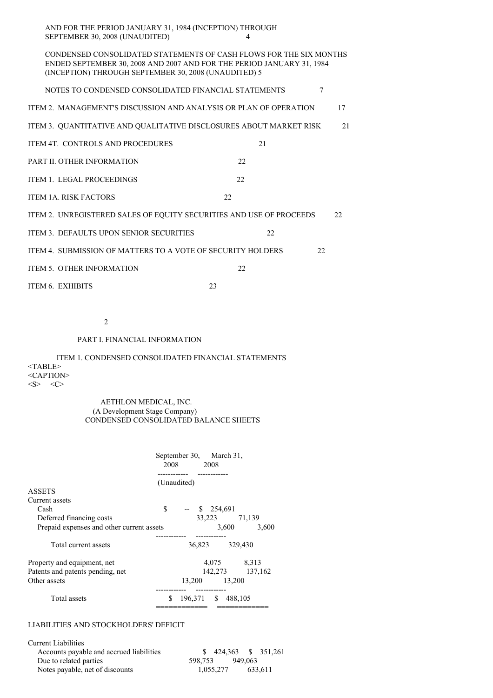AND FOR THE PERIOD JANUARY 31, 1984 (INCEPTION) THROUGH SEPTEMBER 30, 2008 (UNAUDITED) 4

CONDENSED CONSOLIDATED STATEMENTS OF CASH FLOWS FOR THE SIX MONTHS ENDED SEPTEMBER 30, 2008 AND 2007 AND FOR THE PERIOD JANUARY 31, 1984 (INCEPTION) THROUGH SEPTEMBER 30, 2008 (UNAUDITED) 5

NOTES TO CONDENSED CONSOLIDATED FINANCIAL STATEMENTS  $7$ 

| ITEM 2.  MANAGEMENT'S DISCUSSION AND ANALYSIS OR PLAN OF OPERATION |  |
|--------------------------------------------------------------------|--|
|                                                                    |  |

ITEM 3. QUANTITATIVE AND QUALITATIVE DISCLOSURES ABOUT MARKET RISK 21

- ITEM 4T. CONTROLS AND PROCEDURES 21
- PART II. OTHER INFORMATION 22
- ITEM 1. LEGAL PROCEEDINGS 22
- ITEM 1A. RISK FACTORS 22

ITEM 2. UNREGISTERED SALES OF EQUITY SECURITIES AND USE OF PROCEEDS 22

- ITEM 3. DEFAULTS UPON SENIOR SECURITIES 22
- ITEM 4. SUBMISSION OF MATTERS TO A VOTE OF SECURITY HOLDERS 22
- ITEM 5. OTHER INFORMATION 22
- ITEM 6. EXHIBITS 23

2

## PART I. FINANCIAL INFORMATION

ITEM 1. CONDENSED CONSOLIDATED FINANCIAL STATEMENTS <TABLE> <CAPTION>  $\langle S \rangle$   $\langle C \rangle$ 

#### AETHLON MEDICAL, INC. (A Development Stage Company) CONDENSED CONSOLIDATED BALANCE SHEETS

|                                           | September 30, March 31,<br>2008 2008 |                |                 |
|-------------------------------------------|--------------------------------------|----------------|-----------------|
|                                           | (Unaudited)                          |                |                 |
| <b>ASSETS</b>                             |                                      |                |                 |
| Current assets                            |                                      |                |                 |
| Cash                                      | \$<br>$-$ \$ 254,691                 |                |                 |
| Deferred financing costs                  |                                      | 33,223 71,139  |                 |
| Prepaid expenses and other current assets |                                      | 3,600          | 3,600           |
| Total current assets                      |                                      | 36,823 329,430 |                 |
| Property and equipment, net               |                                      |                | 4,075 8,313     |
| Patents and patents pending, net          |                                      |                | 142,273 137,162 |
| Other assets                              | 13,200 13,200                        |                |                 |
| Total assets                              | \$<br>196,371 \$ 488,105             | -----------    |                 |

### LIABILITIES AND STOCKHOLDERS' DEFICIT

| Current Liabilities                      |                      |  |
|------------------------------------------|----------------------|--|
| Accounts payable and accrued liabilities |                      |  |
| Due to related parties                   | 949.063<br>598.753   |  |
| Notes payable, net of discounts          | 633.611<br>1.055.277 |  |

============ ============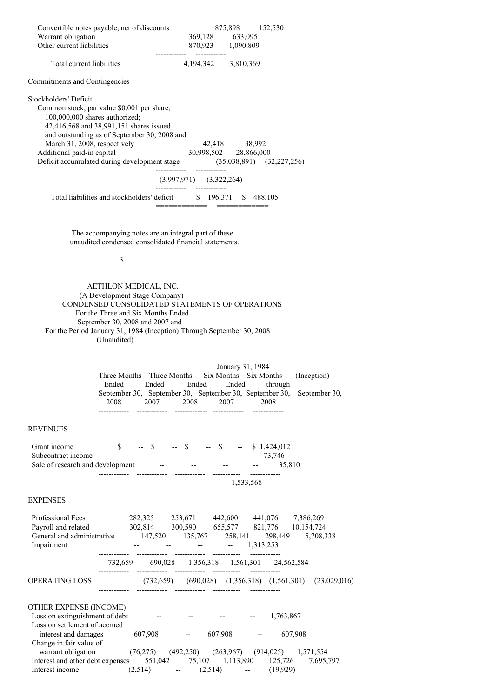| Convertible notes payable, net of discounts                       |                             | 875,898 152,530       |                               |
|-------------------------------------------------------------------|-----------------------------|-----------------------|-------------------------------|
| Warrant obligation                                                |                             | 369,128 633,095       |                               |
| Other current liabilities                                         |                             | 870,923 1,090,809     |                               |
| Total current liabilities                                         |                             | 4,194,342 3,810,369   |                               |
| <b>Commitments and Contingencies</b>                              |                             |                       |                               |
| Stockholders' Deficit                                             |                             |                       |                               |
| Common stock, par value \$0.001 per share;                        |                             |                       |                               |
| 100,000,000 shares authorized;                                    |                             |                       |                               |
| 42,416,568 and 38,991,151 shares issued                           |                             |                       |                               |
| and outstanding as of September 30, 2008 and                      |                             |                       |                               |
| March 31, 2008, respectively                                      |                             | 42,418 38,992         |                               |
| Additional paid-in capital                                        |                             | 30,998,502 28,866,000 |                               |
| Deficit accumulated during development stage                      |                             |                       | $(35,038,891)$ $(32,227,256)$ |
|                                                                   | $(3,997,971)$ $(3,322,264)$ |                       |                               |
| Total liabilities and stockholders' deficit \$ 196,371 \$ 488,105 |                             |                       |                               |
|                                                                   |                             |                       |                               |

The accompanying notes are an integral part of these unaudited condensed consolidated financial statements.

3

AETHLON MEDICAL, INC. (A Development Stage Company) CONDENSED CONSOLIDATED STATEMENTS OF OPERATIONS For the Three and Six Months Ended September 30, 2008 and 2007 and For the Period January 31, 1984 (Inception) Through September 30, 2008 (Unaudited)

|                                                                                                                   | January 31, 1984<br>Three Months Three Months Six Months Six Months<br>(Inception)<br>Ended Ended Ended<br>Ended<br>through<br>September 30, September 30, September 30, September 30,<br>September 30,<br>2008 2007 2008 2007 2008                                 |
|-------------------------------------------------------------------------------------------------------------------|---------------------------------------------------------------------------------------------------------------------------------------------------------------------------------------------------------------------------------------------------------------------|
| <b>REVENUES</b>                                                                                                   |                                                                                                                                                                                                                                                                     |
|                                                                                                                   | Grant income \$ - \$ -- \$ -- \$ -- \$ 1,424,012<br>Subcontract income<br>Sale of research and development<br>T3,746<br>Sale of research and development<br>T3,746<br>T3,746<br>T3,746<br>T3,810                                                                    |
|                                                                                                                   | $    1,533,568$                                                                                                                                                                                                                                                     |
| <b>EXPENSES</b>                                                                                                   |                                                                                                                                                                                                                                                                     |
| Impairment                                                                                                        | Professional Fees 282,325 253,671 442,600 441,076 7,386,269<br>Payroll and related 302,814 300,590 655,577 821,776 10,154,724<br>General and administrative 147,520 135,767 258,141 298,449 5,708,338<br>$     1,313,253$<br>------------  -----------  ----------- |
|                                                                                                                   | 732,659 690,028 1,356,318 1,561,301 24,562,584                                                                                                                                                                                                                      |
|                                                                                                                   | OPERATING LOSS (732,659) (690,028) (1,356,318) (1,561,301) (23,029,016)                                                                                                                                                                                             |
| OTHER EXPENSE (INCOME)<br>Loss on extinguishment of debt<br>Loss on settlement of accrued<br>interest and damages | $      1,763,867$<br>607,908 -- 607,908 -- 607,908<br>Change in fair value of<br>warrant obligation (76,275) (492,250) (263,967) (914,025) 1,571,554<br>Interest and other debt expenses 551,042 75,107 1,113,890 125,726 7,695,797                                 |
|                                                                                                                   | Interest income $(2,514)$ -- $(2,514)$ -- $(19,929)$                                                                                                                                                                                                                |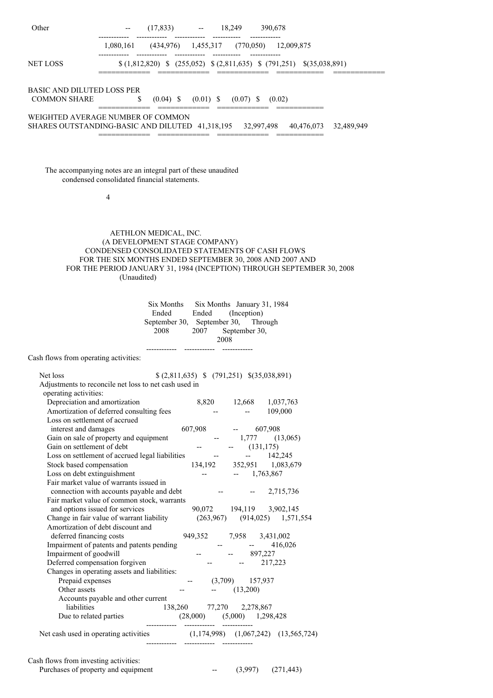| Other                                                                                                                 |                                                                                                             | -- (17,833) -- 18,249 390,678                                                  |                                                                                                                                                                                                                                                                                                                                                                                              |                                                           |                                     |  |
|-----------------------------------------------------------------------------------------------------------------------|-------------------------------------------------------------------------------------------------------------|--------------------------------------------------------------------------------|----------------------------------------------------------------------------------------------------------------------------------------------------------------------------------------------------------------------------------------------------------------------------------------------------------------------------------------------------------------------------------------------|-----------------------------------------------------------|-------------------------------------|--|
|                                                                                                                       | 1,080,161 (434,976) 1,455,317 (770,050) 12,009,875                                                          |                                                                                |                                                                                                                                                                                                                                                                                                                                                                                              |                                                           |                                     |  |
| NET LOSS                                                                                                              |                                                                                                             | $(1,812,820)$ \$ $(255,052)$ \$ $(2,811,635)$ \$ $(791,251)$ \$ $(35,038,891)$ |                                                                                                                                                                                                                                                                                                                                                                                              |                                                           |                                     |  |
| BASIC AND DILUTED LOSS PER<br><b>COMMON SHARE</b>                                                                     | $\frac{\$}{\$}$ (0.04) \ \ (0.01) \ \ (0.07) \ \ (0.02)                                                     |                                                                                |                                                                                                                                                                                                                                                                                                                                                                                              |                                                           |                                     |  |
| WEIGHTED AVERAGE NUMBER OF COMMON<br>SHARES OUTSTANDING-BASIC AND DILUTED 41,318,195 32,997,498 40,476,073 32,489,949 |                                                                                                             |                                                                                |                                                                                                                                                                                                                                                                                                                                                                                              |                                                           |                                     |  |
|                                                                                                                       |                                                                                                             |                                                                                |                                                                                                                                                                                                                                                                                                                                                                                              |                                                           |                                     |  |
|                                                                                                                       |                                                                                                             |                                                                                |                                                                                                                                                                                                                                                                                                                                                                                              |                                                           |                                     |  |
| The accompanying notes are an integral part of these unaudited                                                        | condensed consolidated financial statements.                                                                |                                                                                |                                                                                                                                                                                                                                                                                                                                                                                              |                                                           |                                     |  |
|                                                                                                                       | 4                                                                                                           |                                                                                |                                                                                                                                                                                                                                                                                                                                                                                              |                                                           |                                     |  |
|                                                                                                                       |                                                                                                             |                                                                                |                                                                                                                                                                                                                                                                                                                                                                                              |                                                           |                                     |  |
|                                                                                                                       | (A DEVELOPMENT STAGE COMPANY)                                                                               | AETHLON MEDICAL, INC.                                                          |                                                                                                                                                                                                                                                                                                                                                                                              |                                                           |                                     |  |
|                                                                                                                       | CONDENSED CONSOLIDATED STATEMENTS OF CASH FLOWS<br>FOR THE SIX MONTHS ENDED SEPTEMBER 30, 2008 AND 2007 AND |                                                                                |                                                                                                                                                                                                                                                                                                                                                                                              |                                                           |                                     |  |
|                                                                                                                       | FOR THE PERIOD JANUARY 31, 1984 (INCEPTION) THROUGH SEPTEMBER 30, 2008<br>(Unaudited)                       |                                                                                |                                                                                                                                                                                                                                                                                                                                                                                              |                                                           |                                     |  |
|                                                                                                                       |                                                                                                             | Six Months Six Months January 31, 1984                                         |                                                                                                                                                                                                                                                                                                                                                                                              |                                                           |                                     |  |
|                                                                                                                       |                                                                                                             | Ended Ended                                                                    |                                                                                                                                                                                                                                                                                                                                                                                              | (Inception)                                               |                                     |  |
|                                                                                                                       |                                                                                                             | September 30, September 30, Through<br>2008 2007 September 30,                 |                                                                                                                                                                                                                                                                                                                                                                                              |                                                           |                                     |  |
|                                                                                                                       |                                                                                                             |                                                                                |                                                                                                                                                                                                                                                                                                                                                                                              | 2008                                                      |                                     |  |
| Cash flows from operating activities:                                                                                 |                                                                                                             | ------------- ------------                                                     |                                                                                                                                                                                                                                                                                                                                                                                              |                                                           |                                     |  |
| Net loss                                                                                                              |                                                                                                             |                                                                                | $$(2,811,635) \$ (791,251) \$(35,038,891)$                                                                                                                                                                                                                                                                                                                                                   |                                                           |                                     |  |
| Adjustments to reconcile net loss to net cash used in<br>operating activities:                                        |                                                                                                             |                                                                                |                                                                                                                                                                                                                                                                                                                                                                                              |                                                           |                                     |  |
| Depreciation and amortization<br>Amortization of deferred consulting fees                                             |                                                                                                             |                                                                                | $\sim 100$ km s $^{-1}$                                                                                                                                                                                                                                                                                                                                                                      | 8,820 12,668 1,037,763<br>$\frac{1}{2}$ and $\frac{1}{2}$ | 109,000                             |  |
| Loss on settlement of accrued                                                                                         |                                                                                                             |                                                                                |                                                                                                                                                                                                                                                                                                                                                                                              | $-607,908$                                                |                                     |  |
| interest and damages<br>Gain on sale of property and equipment                                                        |                                                                                                             |                                                                                | 607,908                                                                                                                                                                                                                                                                                                                                                                                      | $-1,777$ (13,065)                                         |                                     |  |
| Gain on settlement of debt                                                                                            |                                                                                                             |                                                                                |                                                                                                                                                                                                                                                                                                                                                                                              | $-$ (131,175)                                             |                                     |  |
| Loss on settlement of accrued legal liabilities --                                                                    |                                                                                                             |                                                                                |                                                                                                                                                                                                                                                                                                                                                                                              |                                                           | $-142,245$                          |  |
| Stock based compensation                                                                                              |                                                                                                             |                                                                                |                                                                                                                                                                                                                                                                                                                                                                                              | 134,192 352,951 1,083,679                                 |                                     |  |
| Loss on debt extinguishment<br>Fair market value of warrants issued in                                                |                                                                                                             |                                                                                | $-$                                                                                                                                                                                                                                                                                                                                                                                          | $-1,763,867$                                              |                                     |  |
|                                                                                                                       | connection with accounts payable and debt                                                                   |                                                                                |                                                                                                                                                                                                                                                                                                                                                                                              | <b>ARCHITECT</b><br>$- -$                                 | 2,715,736                           |  |
| Fair market value of common stock, warrants                                                                           |                                                                                                             |                                                                                |                                                                                                                                                                                                                                                                                                                                                                                              |                                                           |                                     |  |
| Change in fair value of warrant liability                                                                             | and options issued for services                                                                             |                                                                                | $(263,967)$ $(914,025)$ $1,571,554$                                                                                                                                                                                                                                                                                                                                                          | 90,072 194,119 3,902,145                                  |                                     |  |
| Amortization of debt discount and<br>deferred financing costs                                                         |                                                                                                             |                                                                                | 949,352 7,958 3,431,002                                                                                                                                                                                                                                                                                                                                                                      |                                                           |                                     |  |
| Impairment of patents and patents pending                                                                             |                                                                                                             |                                                                                | $\frac{1}{2} \frac{1}{2} \frac{1}{2} \frac{1}{2} \frac{1}{2} \frac{1}{2} \frac{1}{2} \frac{1}{2} \frac{1}{2} \frac{1}{2} \frac{1}{2} \frac{1}{2} \frac{1}{2} \frac{1}{2} \frac{1}{2} \frac{1}{2} \frac{1}{2} \frac{1}{2} \frac{1}{2} \frac{1}{2} \frac{1}{2} \frac{1}{2} \frac{1}{2} \frac{1}{2} \frac{1}{2} \frac{1}{2} \frac{1}{2} \frac{1}{2} \frac{1}{2} \frac{1}{2} \frac{1}{2} \frac{$ |                                                           | 416,026<br><b>Contract Contract</b> |  |
| Impairment of goodwill                                                                                                |                                                                                                             |                                                                                |                                                                                                                                                                                                                                                                                                                                                                                              | $-897,227$                                                |                                     |  |
| Deferred compensation forgiven<br>Changes in operating assets and liabilities:                                        |                                                                                                             |                                                                                |                                                                                                                                                                                                                                                                                                                                                                                              | $\frac{1}{2}$ and $\frac{1}{2}$ .                         | 217,223                             |  |
| Prepaid expenses                                                                                                      |                                                                                                             |                                                                                |                                                                                                                                                                                                                                                                                                                                                                                              | $(3,709)$ 157,937                                         |                                     |  |
| Other assets                                                                                                          |                                                                                                             |                                                                                | $\overline{\phantom{a}}$                                                                                                                                                                                                                                                                                                                                                                     | (13,200)                                                  |                                     |  |
|                                                                                                                       | Accounts payable and other current                                                                          |                                                                                |                                                                                                                                                                                                                                                                                                                                                                                              |                                                           |                                     |  |
| liabilities                                                                                                           | Due to related parties                                                                                      | $(28,000)$ $(5,000)$ $1,298,428$                                               | 138,260 77,270 2,278,867                                                                                                                                                                                                                                                                                                                                                                     |                                                           |                                     |  |
| Net cash used in operating activities (1,174,998) (1,067,242) (13,565,724)                                            |                                                                                                             |                                                                                |                                                                                                                                                                                                                                                                                                                                                                                              |                                                           |                                     |  |
|                                                                                                                       |                                                                                                             |                                                                                |                                                                                                                                                                                                                                                                                                                                                                                              |                                                           |                                     |  |
| Cash flows from investing activities:                                                                                 |                                                                                                             |                                                                                |                                                                                                                                                                                                                                                                                                                                                                                              |                                                           |                                     |  |

Purchases of property and equipment  $(3,997)$   $(271,443)$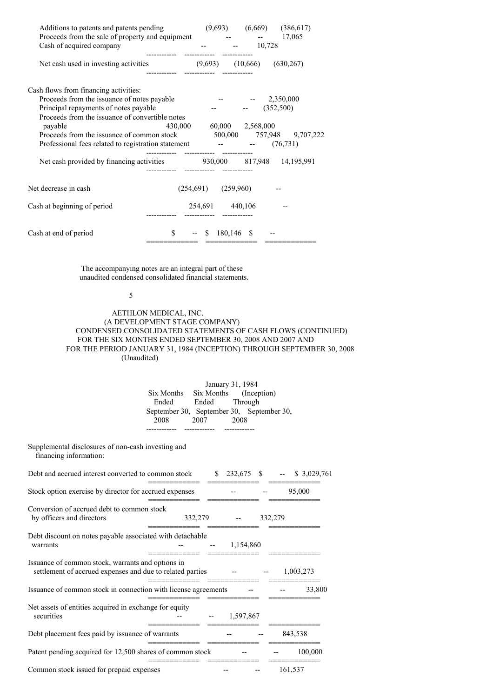| Additions to patents and patents pending<br>Proceeds from the sale of property and equipment -- 17,065<br>Cash of acquired company |                                | $(9,693)$ $(6,669)$ $(386,617)$<br>$-10,728$ |  |
|------------------------------------------------------------------------------------------------------------------------------------|--------------------------------|----------------------------------------------|--|
| Net cash used in investing activities (9,693) (10,666) (630,267)                                                                   |                                |                                              |  |
| Cash flows from financing activities:                                                                                              |                                |                                              |  |
| Proceeds from the issuance of notes payable                                                                                        |                                | $-2,350,000$                                 |  |
| Principal repayments of notes payable                                                                                              |                                | $  (352,500)$                                |  |
| Proceeds from the issuance of convertible notes                                                                                    |                                |                                              |  |
| payable                                                                                                                            |                                | 430,000 60,000 2,568,000                     |  |
| Proceeds from the issuance of common stock 500,000 757,948 9,707,222                                                               |                                |                                              |  |
| Professional fees related to registration statement - - (76,731)                                                                   |                                |                                              |  |
| Net cash provided by financing activities 930,000 817,948 14,195,991                                                               |                                |                                              |  |
| Net decrease in cash                                                                                                               | $(254,691)$ $(259,960)$        |                                              |  |
| Cash at beginning of period                                                                                                        | 254,691 440,106                |                                              |  |
| Cash at end of period                                                                                                              | $-$ \$ 180,146 \$<br>========= |                                              |  |

The accompanying notes are an integral part of these unaudited condensed consolidated financial statements.

### 5

## AETHLON MEDICAL, INC. (A DEVELOPMENT STAGE COMPANY) CONDENSED CONSOLIDATED STATEMENTS OF CASH FLOWS (CONTINUED) FOR THE SIX MONTHS ENDED SEPTEMBER 30, 2008 AND 2007 AND FOR THE PERIOD JANUARY 31, 1984 (INCEPTION) THROUGH SEPTEMBER 30, 2008 (Unaudited)

| January 31, 1984 |               |                                           |  |  |  |
|------------------|---------------|-------------------------------------------|--|--|--|
| Six Months       |               | Six Months (Inception)                    |  |  |  |
| Ended            | Ended Through |                                           |  |  |  |
|                  |               | September 30, September 30, September 30, |  |  |  |
| 2008             | 2007          | 2008                                      |  |  |  |
|                  |               |                                           |  |  |  |

Supplemental disclosures of non-cash investing and financing information:

| Debt and accrued interest converted to common stock                                                            |         | \$<br>232,675 | - \$ |         |           | \$ 3,029,761 |
|----------------------------------------------------------------------------------------------------------------|---------|---------------|------|---------|-----------|--------------|
| Stock option exercise by director for accrued expenses                                                         |         |               |      |         | 95,000    |              |
| Conversion of accrued debt to common stock<br>by officers and directors                                        | 332,279 |               |      | 332,279 |           |              |
| Debt discount on notes payable associated with detachable<br>warrants                                          |         | 1,154,860     |      |         |           |              |
| Issuance of common stock, warrants and options in<br>settlement of accrued expenses and due to related parties |         |               |      |         | 1,003,273 |              |
| Issuance of common stock in connection with license agreements                                                 |         |               |      |         |           | 33,800       |
| Net assets of entities acquired in exchange for equity<br>securities                                           |         | 1,597,867     |      |         |           |              |
| Debt placement fees paid by issuance of warrants                                                               |         |               |      |         | 843,538   |              |
| Patent pending acquired for 12,500 shares of common stock                                                      |         |               |      |         |           | 100,000      |
| Common stock issued for prepaid expenses                                                                       |         |               |      |         | 161,537   |              |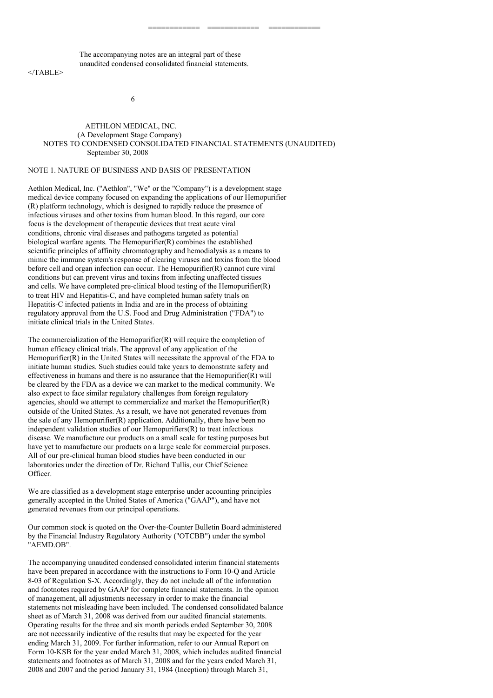The accompanying notes are an integral part of these unaudited condensed consolidated financial statements.

</TABLE>

6

#### AETHLON MEDICAL, INC. (A Development Stage Company) NOTES TO CONDENSED CONSOLIDATED FINANCIAL STATEMENTS (UNAUDITED) September 30, 2008

============ ============ ============

## NOTE 1. NATURE OF BUSINESS AND BASIS OF PRESENTATION

Aethlon Medical, Inc. ("Aethlon", "We" or the "Company") is a development stage medical device company focused on expanding the applications of our Hemopurifier (R) platform technology, which is designed to rapidly reduce the presence of infectious viruses and other toxins from human blood. In this regard, our core focus is the development of therapeutic devices that treat acute viral conditions, chronic viral diseases and pathogens targeted as potential biological warfare agents. The Hemopurifier(R) combines the established scientific principles of affinity chromatography and hemodialysis as a means to mimic the immune system's response of clearing viruses and toxins from the blood before cell and organ infection can occur. The Hemopurifier(R) cannot cure viral conditions but can prevent virus and toxins from infecting unaffected tissues and cells. We have completed pre-clinical blood testing of the Hemopurifier(R) to treat HIV and Hepatitis-C, and have completed human safety trials on Hepatitis-C infected patients in India and are in the process of obtaining regulatory approval from the U.S. Food and Drug Administration ("FDA") to initiate clinical trials in the United States.

The commercialization of the Hemopurifier(R) will require the completion of human efficacy clinical trials. The approval of any application of the Hemopurifier(R) in the United States will necessitate the approval of the FDA to initiate human studies. Such studies could take years to demonstrate safety and effectiveness in humans and there is no assurance that the Hemopurifier(R) will be cleared by the FDA as a device we can market to the medical community. We also expect to face similar regulatory challenges from foreign regulatory agencies, should we attempt to commercialize and market the Hemopurifier(R) outside of the United States. As a result, we have not generated revenues from the sale of any Hemopurifier(R) application. Additionally, there have been no independent validation studies of our Hemopurifiers(R) to treat infectious disease. We manufacture our products on a small scale for testing purposes but have yet to manufacture our products on a large scale for commercial purposes. All of our pre-clinical human blood studies have been conducted in our laboratories under the direction of Dr. Richard Tullis, our Chief Science Officer.

We are classified as a development stage enterprise under accounting principles generally accepted in the United States of America ("GAAP"), and have not generated revenues from our principal operations.

Our common stock is quoted on the Over-the-Counter Bulletin Board administered by the Financial Industry Regulatory Authority ("OTCBB") under the symbol "AEMD.OB".

The accompanying unaudited condensed consolidated interim financial statements have been prepared in accordance with the instructions to Form 10-Q and Article 8-03 of Regulation S-X. Accordingly, they do not include all of the information and footnotes required by GAAP for complete financial statements. In the opinion of management, all adjustments necessary in order to make the financial statements not misleading have been included. The condensed consolidated balance sheet as of March 31, 2008 was derived from our audited financial statements. Operating results for the three and six month periods ended September 30, 2008 are not necessarily indicative of the results that may be expected for the year ending March 31, 2009. For further information, refer to our Annual Report on Form 10-KSB for the year ended March 31, 2008, which includes audited financial statements and footnotes as of March 31, 2008 and for the years ended March 31, 2008 and 2007 and the period January 31, 1984 (Inception) through March 31,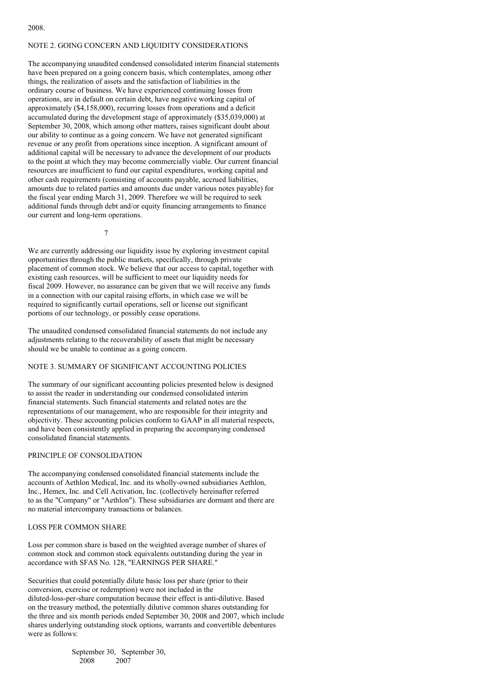# NOTE 2. GOING CONCERN AND LIQUIDITY CONSIDERATIONS

The accompanying unaudited condensed consolidated interim financial statements have been prepared on a going concern basis, which contemplates, among other things, the realization of assets and the satisfaction of liabilities in the ordinary course of business. We have experienced continuing losses from operations, are in default on certain debt, have negative working capital of approximately (\$4,158,000), recurring losses from operations and a deficit accumulated during the development stage of approximately (\$35,039,000) at September 30, 2008, which among other matters, raises significant doubt about our ability to continue as a going concern. We have not generated significant revenue or any profit from operations since inception. A significant amount of additional capital will be necessary to advance the development of our products to the point at which they may become commercially viable. Our current financial resources are insufficient to fund our capital expenditures, working capital and other cash requirements (consisting of accounts payable, accrued liabilities, amounts due to related parties and amounts due under various notes payable) for the fiscal year ending March 31, 2009. Therefore we will be required to seek additional funds through debt and/or equity financing arrangements to finance our current and long-term operations.

7

We are currently addressing our liquidity issue by exploring investment capital opportunities through the public markets, specifically, through private placement of common stock. We believe that our access to capital, together with existing cash resources, will be sufficient to meet our liquidity needs for fiscal 2009. However, no assurance can be given that we will receive any funds in a connection with our capital raising efforts, in which case we will be required to significantly curtail operations, sell or license out significant portions of our technology, or possibly cease operations.

The unaudited condensed consolidated financial statements do not include any adjustments relating to the recoverability of assets that might be necessary should we be unable to continue as a going concern.

## NOTE 3. SUMMARY OF SIGNIFICANT ACCOUNTING POLICIES

The summary of our significant accounting policies presented below is designed to assist the reader in understanding our condensed consolidated interim financial statements. Such financial statements and related notes are the representations of our management, who are responsible for their integrity and objectivity. These accounting policies conform to GAAP in all material respects, and have been consistently applied in preparing the accompanying condensed consolidated financial statements.

### PRINCIPLE OF CONSOLIDATION

The accompanying condensed consolidated financial statements include the accounts of Aethlon Medical, Inc. and its wholly-owned subsidiaries Aethlon, Inc., Hemex, Inc. and Cell Activation, Inc. (collectively hereinafter referred to as the "Company" or "Aethlon"). These subsidiaries are dormant and there are no material intercompany transactions or balances.

### LOSS PER COMMON SHARE

Loss per common share is based on the weighted average number of shares of common stock and common stock equivalents outstanding during the year in accordance with SFAS No. 128, "EARNINGS PER SHARE."

Securities that could potentially dilute basic loss per share (prior to their conversion, exercise or redemption) were not included in the diluted-loss-per-share computation because their effect is anti-dilutive. Based on the treasury method, the potentially dilutive common shares outstanding for the three and six month periods ended September 30, 2008 and 2007, which include shares underlying outstanding stock options, warrants and convertible debentures were as follows:

> September 30, September 30, 2008 2007

#### 2008.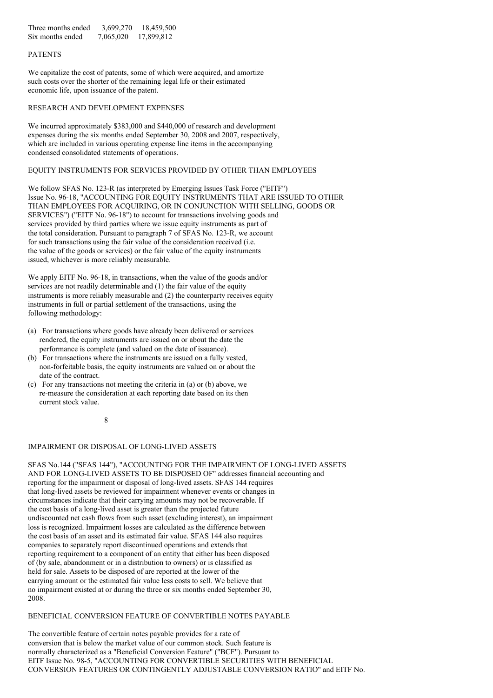Three months ended 3,699,270 18,459,500 Six months ended 7,065,020 17,899,812

## PATENTS

We capitalize the cost of patents, some of which were acquired, and amortize such costs over the shorter of the remaining legal life or their estimated economic life, upon issuance of the patent.

## RESEARCH AND DEVELOPMENT EXPENSES

We incurred approximately \$383,000 and \$440,000 of research and development expenses during the six months ended September 30, 2008 and 2007, respectively, which are included in various operating expense line items in the accompanying condensed consolidated statements of operations.

### EQUITY INSTRUMENTS FOR SERVICES PROVIDED BY OTHER THAN EMPLOYEES

We follow SFAS No. 123-R (as interpreted by Emerging Issues Task Force ("EITF") Issue No. 96-18, "ACCOUNTING FOR EQUITY INSTRUMENTS THAT ARE ISSUED TO OTHER THAN EMPLOYEES FOR ACQUIRING, OR IN CONJUNCTION WITH SELLING, GOODS OR SERVICES") ("EITF No. 96-18") to account for transactions involving goods and services provided by third parties where we issue equity instruments as part of the total consideration. Pursuant to paragraph 7 of SFAS No. 123-R, we account for such transactions using the fair value of the consideration received (i.e. the value of the goods or services) or the fair value of the equity instruments issued, whichever is more reliably measurable.

We apply EITF No. 96-18, in transactions, when the value of the goods and/or services are not readily determinable and (1) the fair value of the equity instruments is more reliably measurable and (2) the counterparty receives equity instruments in full or partial settlement of the transactions, using the following methodology:

- (a) For transactions where goods have already been delivered or services rendered, the equity instruments are issued on or about the date the performance is complete (and valued on the date of issuance).
- (b) For transactions where the instruments are issued on a fully vested, non-forfeitable basis, the equity instruments are valued on or about the date of the contract.
- (c) For any transactions not meeting the criteria in (a) or (b) above, we re-measure the consideration at each reporting date based on its then current stock value.

8

#### IMPAIRMENT OR DISPOSAL OF LONG-LIVED ASSETS

SFAS No.144 ("SFAS 144"), "ACCOUNTING FOR THE IMPAIRMENT OF LONG-LIVED ASSETS AND FOR LONG-LIVED ASSETS TO BE DISPOSED OF" addresses financial accounting and reporting for the impairment or disposal of long-lived assets. SFAS 144 requires that long-lived assets be reviewed for impairment whenever events or changes in circumstances indicate that their carrying amounts may not be recoverable. If the cost basis of a long-lived asset is greater than the projected future undiscounted net cash flows from such asset (excluding interest), an impairment loss is recognized. Impairment losses are calculated as the difference between the cost basis of an asset and its estimated fair value. SFAS 144 also requires companies to separately report discontinued operations and extends that reporting requirement to a component of an entity that either has been disposed of (by sale, abandonment or in a distribution to owners) or is classified as held for sale. Assets to be disposed of are reported at the lower of the carrying amount or the estimated fair value less costs to sell. We believe that no impairment existed at or during the three or six months ended September 30, 2008.

## BENEFICIAL CONVERSION FEATURE OF CONVERTIBLE NOTES PAYABLE

The convertible feature of certain notes payable provides for a rate of conversion that is below the market value of our common stock. Such feature is normally characterized as a "Beneficial Conversion Feature" ("BCF"). Pursuant to EITF Issue No. 98-5, "ACCOUNTING FOR CONVERTIBLE SECURITIES WITH BENEFICIAL CONVERSION FEATURES OR CONTINGENTLY ADJUSTABLE CONVERSION RATIO" and EITF No.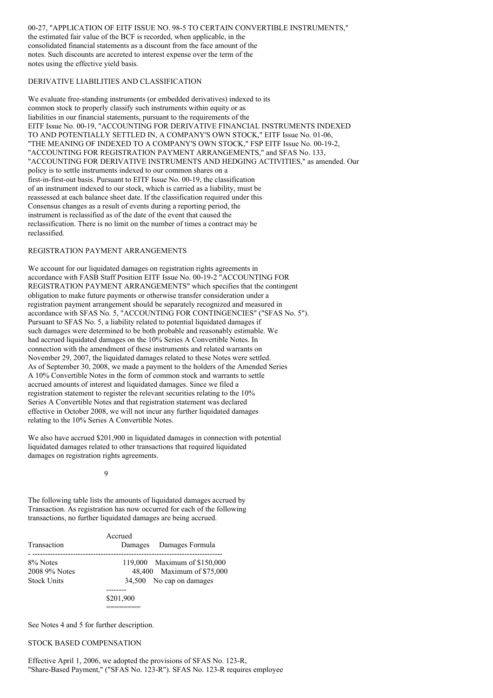00-27, "APPLICATION OF EITF ISSUE NO. 98-5 TO CERTAIN CONVERTIBLE INSTRUMENTS," the estimated fair value of the BCF is recorded, when applicable, in the consolidated financial statements as a discount from the face amount of the notes. Such discounts are accreted to interest expense over the term of the notes using the effective yield basis.

### DERIVATIVE LIABILITIES AND CLASSIFICATION

We evaluate free-standing instruments (or embedded derivatives) indexed to its common stock to properly classify such instruments within equity or as liabilities in our financial statements, pursuant to the requirements of the EITF Issue No. 00-19, "ACCOUNTING FOR DERIVATIVE FINANCIAL INSTRUMENTS INDEXED TO AND POTENTIALLY SETTLED IN, A COMPANY'S OWN STOCK," EITF Issue No. 01-06, "THE MEANING OF INDEXED TO A COMPANY'S OWN STOCK," FSP EITF Issue No. 00-19-2, "ACCOUNTING FOR REGISTRATION PAYMENT ARRANGEMENTS," and SFAS No. 133, "ACCOUNTING FOR DERIVATIVE INSTRUMENTS AND HEDGING ACTIVITIES," as amended. Our policy is to settle instruments indexed to our common shares on a first-in-first-out basis. Pursuant to EITF Issue No. 00-19, the classification of an instrument indexed to our stock, which is carried as a liability, must be reassessed at each balance sheet date. If the classification required under this Consensus changes as a result of events during a reporting period, the instrument is reclassified as of the date of the event that caused the reclassification. There is no limit on the number of times a contract may be reclassified.

#### REGISTRATION PAYMENT ARRANGEMENTS

We account for our liquidated damages on registration rights agreements in accordance with FASB Staff Position EITF Issue No. 00-19-2 "ACCOUNTING FOR REGISTRATION PAYMENT ARRANGEMENTS" which specifies that the contingent obligation to make future payments or otherwise transfer consideration under a registration payment arrangement should be separately recognized and measured in accordance with SFAS No. 5, "ACCOUNTING FOR CONTINGENCIES" ("SFAS No. 5"). Pursuant to SFAS No. 5, a liability related to potential liquidated damages if such damages were determined to be both probable and reasonably estimable. We had accrued liquidated damages on the 10% Series A Convertible Notes. In connection with the amendment of these instruments and related warrants on November 29, 2007, the liquidated damages related to these Notes were settled. As of September 30, 2008, we made a payment to the holders of the Amended Series A 10% Convertible Notes in the form of common stock and warrants to settle accrued amounts of interest and liquidated damages. Since we filed a registration statement to register the relevant securities relating to the 10% Series A Convertible Notes and that registration statement was declared effective in October 2008, we will not incur any further liquidated damages relating to the 10% Series A Convertible Notes.

We also have accrued \$201,900 in liquidated damages in connection with potential liquidated damages related to other transactions that required liquidated damages on registration rights agreements.

 $\overline{Q}$ 

The following table lists the amounts of liquidated damages accrued by Transaction. As registration has now occurred for each of the following transactions, no further liquidated damages are being accrued.

| <b>Transaction</b>                              | Accrued<br>Damages Damages Formula                                                     |
|-------------------------------------------------|----------------------------------------------------------------------------------------|
| 8% Notes<br>2008 9% Notes<br><b>Stock Units</b> | 119,000 Maximum of \$150,000<br>48,400 Maximum of \$75,000<br>34,500 No cap on damages |
|                                                 | \$201,900                                                                              |

See Notes 4 and 5 for further description.

#### STOCK BASED COMPENSATION

Effective April 1, 2006, we adopted the provisions of SFAS No. 123-R, "Share-Based Payment," ("SFAS No. 123-R"). SFAS No. 123-R requires employee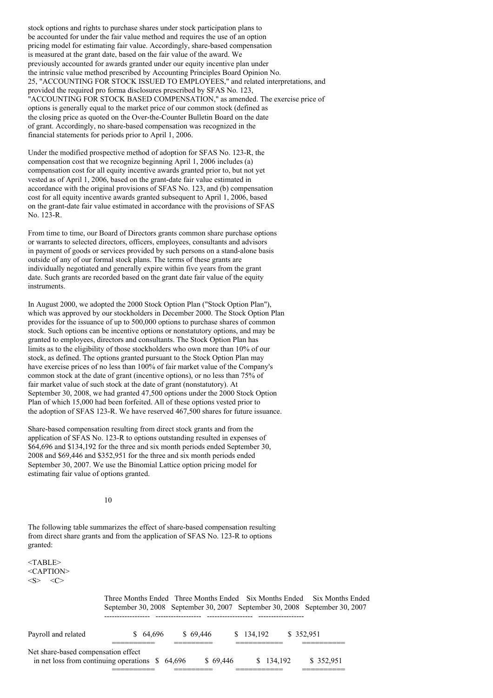stock options and rights to purchase shares under stock participation plans to be accounted for under the fair value method and requires the use of an option pricing model for estimating fair value. Accordingly, share-based compensation is measured at the grant date, based on the fair value of the award. We previously accounted for awards granted under our equity incentive plan under the intrinsic value method prescribed by Accounting Principles Board Opinion No. 25, "ACCOUNTING FOR STOCK ISSUED TO EMPLOYEES," and related interpretations, and provided the required pro forma disclosures prescribed by SFAS No. 123, "ACCOUNTING FOR STOCK BASED COMPENSATION," as amended. The exercise price of options is generally equal to the market price of our common stock (defined as the closing price as quoted on the Over-the-Counter Bulletin Board on the date of grant. Accordingly, no share-based compensation was recognized in the financial statements for periods prior to April 1, 2006.

Under the modified prospective method of adoption for SFAS No. 123-R, the compensation cost that we recognize beginning April 1, 2006 includes (a) compensation cost for all equity incentive awards granted prior to, but not yet vested as of April 1, 2006, based on the grant-date fair value estimated in accordance with the original provisions of SFAS No. 123, and (b) compensation cost for all equity incentive awards granted subsequent to April 1, 2006, based on the grant-date fair value estimated in accordance with the provisions of SFAS No. 123-R.

From time to time, our Board of Directors grants common share purchase options or warrants to selected directors, officers, employees, consultants and advisors in payment of goods or services provided by such persons on a stand-alone basis outside of any of our formal stock plans. The terms of these grants are individually negotiated and generally expire within five years from the grant date. Such grants are recorded based on the grant date fair value of the equity instruments.

In August 2000, we adopted the 2000 Stock Option Plan ("Stock Option Plan"), which was approved by our stockholders in December 2000. The Stock Option Plan provides for the issuance of up to 500,000 options to purchase shares of common stock. Such options can be incentive options or nonstatutory options, and may be granted to employees, directors and consultants. The Stock Option Plan has limits as to the eligibility of those stockholders who own more than 10% of our stock, as defined. The options granted pursuant to the Stock Option Plan may have exercise prices of no less than 100% of fair market value of the Company's common stock at the date of grant (incentive options), or no less than 75% of fair market value of such stock at the date of grant (nonstatutory). At September 30, 2008, we had granted 47,500 options under the 2000 Stock Option Plan of which 15,000 had been forfeited. All of these options vested prior to the adoption of SFAS 123-R. We have reserved 467,500 shares for future issuance.

Share-based compensation resulting from direct stock grants and from the application of SFAS No. 123-R to options outstanding resulted in expenses of \$64,696 and \$134,192 for the three and six month periods ended September 30, 2008 and \$69,446 and \$352,951 for the three and six month periods ended September 30, 2007. We use the Binomial Lattice option pricing model for estimating fair value of options granted.

10

The following table summarizes the effect of share-based compensation resulting from direct share grants and from the application of SFAS No. 123-R to options granted:

<TABLE> <CAPTION>  $\langle S \rangle$   $\langle C \rangle$ 

|                                     | Three Months Ended Three Months Ended Six Months Ended Six Months Ended<br>September 30, 2008 September 30, 2007 September 30, 2008 September 30, 2007 |                |           |            |
|-------------------------------------|--------------------------------------------------------------------------------------------------------------------------------------------------------|----------------|-----------|------------|
| Payroll and related                 | \$64.696                                                                                                                                               | \$69,446<br>S. | 134,192   | \$ 352,951 |
| Net share-based compensation effect | in net loss from continuing operations $$64,696$                                                                                                       | \$69.446       | \$134.192 | \$ 352,951 |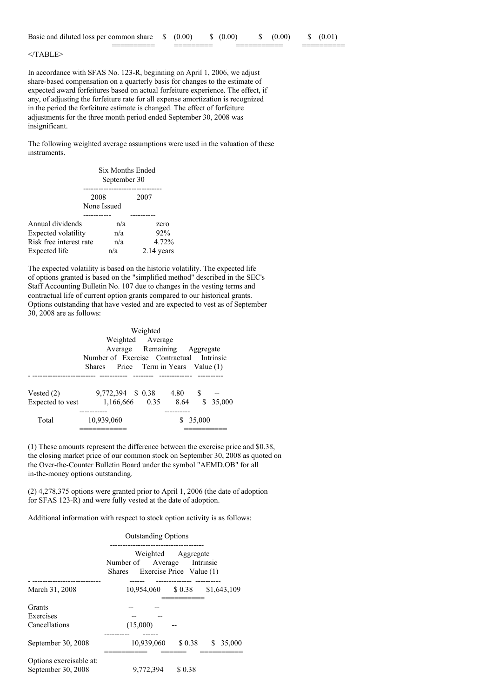========== ========= =========== ==========

</TABLE>

In accordance with SFAS No. 123-R, beginning on April 1, 2006, we adjust share-based compensation on a quarterly basis for changes to the estimate of expected award forfeitures based on actual forfeiture experience. The effect, if any, of adjusting the forfeiture rate for all expense amortization is recognized in the period the forfeiture estimate is changed. The effect of forfeiture adjustments for the three month period ended September 30, 2008 was insignificant.

The following weighted average assumptions were used in the valuation of these instruments.

|                         | Six Months Ended<br>September 30 |            |  |  |  |
|-------------------------|----------------------------------|------------|--|--|--|
|                         | 2008<br>None Issued              | 2007       |  |  |  |
|                         |                                  |            |  |  |  |
| Annual dividends        | n/a                              | zero       |  |  |  |
| Expected volatility     | n/a                              | 92%        |  |  |  |
| Risk free interest rate | n/a                              | 4.72%      |  |  |  |
| Expected life           | n/a                              | 2.14 years |  |  |  |

The expected volatility is based on the historic volatility. The expected life of options granted is based on the "simplified method" described in the SEC's Staff Accounting Bulletin No. 107 due to changes in the vesting terms and contractual life of current option grants compared to our historical grants. Options outstanding that have vested and are expected to vest as of September 30, 2008 are as follows:

| Weighted         |                                          |  |         |        |  |
|------------------|------------------------------------------|--|---------|--------|--|
|                  | Weighted Average                         |  |         |        |  |
|                  | Average Remaining Aggregate              |  |         |        |  |
|                  | Number of Exercise Contractual Intrinsic |  |         |        |  |
|                  | Shares Price Term in Years Value (1)     |  |         |        |  |
|                  |                                          |  |         |        |  |
| Vested $(2)$     | 9,772,394 \$ 0.38                        |  | 4.80 \$ |        |  |
| Expected to vest | 1,166,666 0.35 8.64 \$ 35,000            |  |         |        |  |
|                  | ---------                                |  | .       |        |  |
| Total            | 10,939,060                               |  |         | 35,000 |  |
|                  |                                          |  |         |        |  |

(1) These amounts represent the difference between the exercise price and \$0.38, the closing market price of our common stock on September 30, 2008 as quoted on the Over-the-Counter Bulletin Board under the symbol "AEMD.OB" for all in-the-money options outstanding.

(2) 4,278,375 options were granted prior to April 1, 2006 (the date of adoption for SFAS 123-R) and were fully vested at the date of adoption.

Additional information with respect to stock option activity is as follows:

#### Outstanding Options

|                                               | Weighted Aggregate<br>Number of Average Intrinsic<br>Shares Exercise Price Value (1)<br>----------- |               |
|-----------------------------------------------|-----------------------------------------------------------------------------------------------------|---------------|
| March 31, 2008                                | 10,954,060 \$ 0.38                                                                                  | \$1,643,109   |
| Grants<br>Exercises<br>Cancellations          | (15,000)                                                                                            |               |
| September 30, 2008                            | 10.939.060<br>\$0.38                                                                                | 35,000<br>\$. |
| Options exercisable at:<br>September 30, 2008 | 9,772,394<br>\$0.38                                                                                 |               |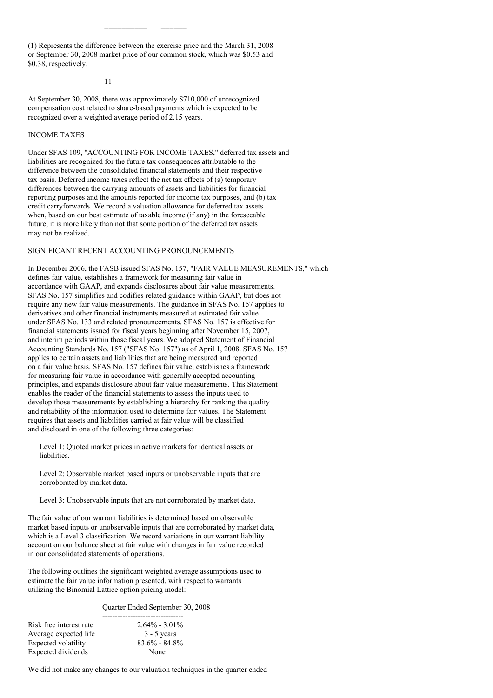(1) Represents the difference between the exercise price and the March 31, 2008 or September 30, 2008 market price of our common stock, which was \$0.53 and \$0.38, respectively.

========== ======

11

At September 30, 2008, there was approximately \$710,000 of unrecognized compensation cost related to share-based payments which is expected to be recognized over a weighted average period of 2.15 years.

### INCOME TAXES

Under SFAS 109, "ACCOUNTING FOR INCOME TAXES," deferred tax assets and liabilities are recognized for the future tax consequences attributable to the difference between the consolidated financial statements and their respective tax basis. Deferred income taxes reflect the net tax effects of (a) temporary differences between the carrying amounts of assets and liabilities for financial reporting purposes and the amounts reported for income tax purposes, and (b) tax credit carryforwards. We record a valuation allowance for deferred tax assets when, based on our best estimate of taxable income (if any) in the foreseeable future, it is more likely than not that some portion of the deferred tax assets may not be realized.

### SIGNIFICANT RECENT ACCOUNTING PRONOUNCEMENTS

In December 2006, the FASB issued SFAS No. 157, "FAIR VALUE MEASUREMENTS," which defines fair value, establishes a framework for measuring fair value in accordance with GAAP, and expands disclosures about fair value measurements. SFAS No. 157 simplifies and codifies related guidance within GAAP, but does not require any new fair value measurements. The guidance in SFAS No. 157 applies to derivatives and other financial instruments measured at estimated fair value under SFAS No. 133 and related pronouncements. SFAS No. 157 is effective for financial statements issued for fiscal years beginning after November 15, 2007, and interim periods within those fiscal years. We adopted Statement of Financial Accounting Standards No. 157 ("SFAS No. 157") as of April 1, 2008. SFAS No. 157 applies to certain assets and liabilities that are being measured and reported on a fair value basis. SFAS No. 157 defines fair value, establishes a framework for measuring fair value in accordance with generally accepted accounting principles, and expands disclosure about fair value measurements. This Statement enables the reader of the financial statements to assess the inputs used to develop those measurements by establishing a hierarchy for ranking the quality and reliability of the information used to determine fair values. The Statement requires that assets and liabilities carried at fair value will be classified and disclosed in one of the following three categories:

Level 1: Quoted market prices in active markets for identical assets or liabilities.

Level 2: Observable market based inputs or unobservable inputs that are corroborated by market data.

Level 3: Unobservable inputs that are not corroborated by market data.

The fair value of our warrant liabilities is determined based on observable market based inputs or unobservable inputs that are corroborated by market data, which is a Level 3 classification. We record variations in our warrant liability account on our balance sheet at fair value with changes in fair value recorded in our consolidated statements of operations.

The following outlines the significant weighted average assumptions used to estimate the fair value information presented, with respect to warrants utilizing the Binomial Lattice option pricing model:

#### Quarter Ended September 30, 2008

| Risk free interest rate | $2.64\% - 3.01\%$ |
|-------------------------|-------------------|
| Average expected life   | $3 - 5$ years     |
| Expected volatility     | $83.6\% - 84.8\%$ |
| Expected dividends      | None              |

We did not make any changes to our valuation techniques in the quarter ended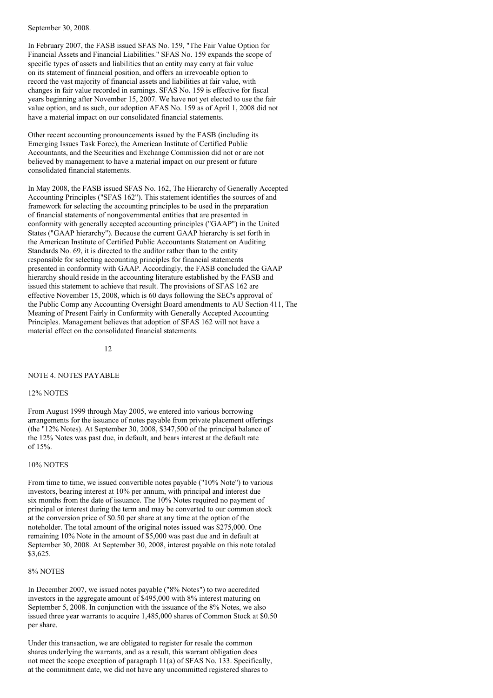September 30, 2008.

In February 2007, the FASB issued SFAS No. 159, "The Fair Value Option for Financial Assets and Financial Liabilities." SFAS No. 159 expands the scope of specific types of assets and liabilities that an entity may carry at fair value on its statement of financial position, and offers an irrevocable option to record the vast majority of financial assets and liabilities at fair value, with changes in fair value recorded in earnings. SFAS No. 159 is effective for fiscal years beginning after November 15, 2007. We have not yet elected to use the fair value option, and as such, our adoption AFAS No. 159 as of April 1, 2008 did not have a material impact on our consolidated financial statements.

Other recent accounting pronouncements issued by the FASB (including its Emerging Issues Task Force), the American Institute of Certified Public Accountants, and the Securities and Exchange Commission did not or are not believed by management to have a material impact on our present or future consolidated financial statements.

In May 2008, the FASB issued SFAS No. 162, The Hierarchy of Generally Accepted Accounting Principles ("SFAS 162"). This statement identifies the sources of and framework for selecting the accounting principles to be used in the preparation of financial statements of nongovernmental entities that are presented in conformity with generally accepted accounting principles ("GAAP") in the United States ("GAAP hierarchy"). Because the current GAAP hierarchy is set forth in the American Institute of Certified Public Accountants Statement on Auditing Standards No. 69, it is directed to the auditor rather than to the entity responsible for selecting accounting principles for financial statements presented in conformity with GAAP. Accordingly, the FASB concluded the GAAP hierarchy should reside in the accounting literature established by the FASB and issued this statement to achieve that result. The provisions of SFAS 162 are effective November 15, 2008, which is 60 days following the SEC's approval of the Public Comp any Accounting Oversight Board amendments to AU Section 411, The Meaning of Present Fairly in Conformity with Generally Accepted Accounting Principles. Management believes that adoption of SFAS 162 will not have a material effect on the consolidated financial statements.

 $12$ 

### NOTE 4. NOTES PAYABLE

#### 12% NOTES

From August 1999 through May 2005, we entered into various borrowing arrangements for the issuance of notes payable from private placement offerings (the "12% Notes). At September 30, 2008, \$347,500 of the principal balance of the 12% Notes was past due, in default, and bears interest at the default rate of 15%.

### 10% NOTES

From time to time, we issued convertible notes payable ("10% Note") to various investors, bearing interest at 10% per annum, with principal and interest due six months from the date of issuance. The 10% Notes required no payment of principal or interest during the term and may be converted to our common stock at the conversion price of \$0.50 per share at any time at the option of the noteholder. The total amount of the original notes issued was \$275,000. One remaining 10% Note in the amount of \$5,000 was past due and in default at September 30, 2008. At September 30, 2008, interest payable on this note totaled \$3,625.

## 8% NOTES

In December 2007, we issued notes payable ("8% Notes") to two accredited investors in the aggregate amount of \$495,000 with 8% interest maturing on September 5, 2008. In conjunction with the issuance of the 8% Notes, we also issued three year warrants to acquire 1,485,000 shares of Common Stock at \$0.50 per share.

Under this transaction, we are obligated to register for resale the common shares underlying the warrants, and as a result, this warrant obligation does not meet the scope exception of paragraph 11(a) of SFAS No. 133. Specifically, at the commitment date, we did not have any uncommitted registered shares to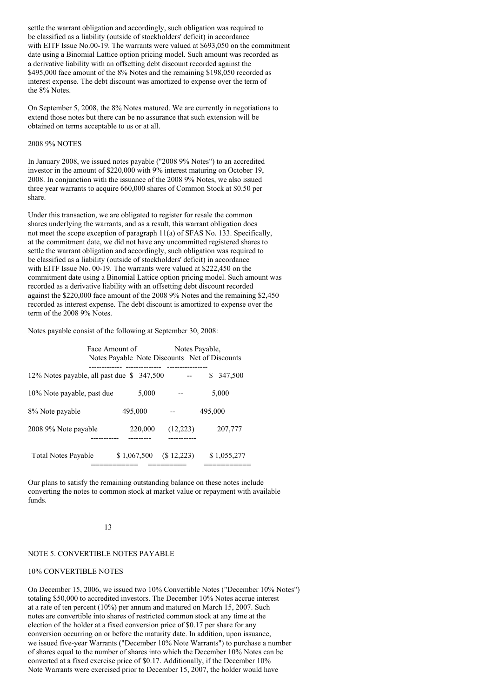settle the warrant obligation and accordingly, such obligation was required to be classified as a liability (outside of stockholders' deficit) in accordance with EITF Issue No.00-19. The warrants were valued at \$693,050 on the commitment date using a Binomial Lattice option pricing model. Such amount was recorded as a derivative liability with an offsetting debt discount recorded against the \$495,000 face amount of the 8% Notes and the remaining \$198,050 recorded as interest expense. The debt discount was amortized to expense over the term of the 8% Notes.

On September 5, 2008, the 8% Notes matured. We are currently in negotiations to extend those notes but there can be no assurance that such extension will be obtained on terms acceptable to us or at all.

#### 2008 9% NOTES

In January 2008, we issued notes payable ("2008 9% Notes") to an accredited investor in the amount of \$220,000 with 9% interest maturing on October 19, 2008. In conjunction with the issuance of the 2008 9% Notes, we also issued three year warrants to acquire 660,000 shares of Common Stock at \$0.50 per share.

Under this transaction, we are obligated to register for resale the common shares underlying the warrants, and as a result, this warrant obligation does not meet the scope exception of paragraph 11(a) of SFAS No. 133. Specifically, at the commitment date, we did not have any uncommitted registered shares to settle the warrant obligation and accordingly, such obligation was required to be classified as a liability (outside of stockholders' deficit) in accordance with EITF Issue No. 00-19. The warrants were valued at \$222,450 on the commitment date using a Binomial Lattice option pricing model. Such amount was recorded as a derivative liability with an offsetting debt discount recorded against the \$220,000 face amount of the 2008 9% Notes and the remaining \$2,450 recorded as interest expense. The debt discount is amortized to expense over the term of the 2008 9% Notes.

Notes payable consist of the following at September 30, 2008:

|                                           | Face Amount of |             | Notes Payable, | Notes Payable Note Discounts Net of Discounts |
|-------------------------------------------|----------------|-------------|----------------|-----------------------------------------------|
| 12% Notes payable, all past due \$347,500 |                |             |                | 347,500                                       |
| 10% Note payable, past due                |                | 5,000       |                | 5,000                                         |
| 8% Note payable                           |                | 495,000     |                | 495,000                                       |
| 2008 9% Note payable                      |                | 220,000     | (12,223)       | 207,777                                       |
| <b>Total Notes Payable</b>                |                | \$1,067,500 | (\$12,223)     | \$1,055,277                                   |

Our plans to satisfy the remaining outstanding balance on these notes include converting the notes to common stock at market value or repayment with available funds.

#### 13

#### NOTE 5. CONVERTIBLE NOTES PAYABLE

#### 10% CONVERTIBLE NOTES

On December 15, 2006, we issued two 10% Convertible Notes ("December 10% Notes") totaling \$50,000 to accredited investors. The December 10% Notes accrue interest at a rate of ten percent (10%) per annum and matured on March 15, 2007. Such notes are convertible into shares of restricted common stock at any time at the election of the holder at a fixed conversion price of \$0.17 per share for any conversion occurring on or before the maturity date. In addition, upon issuance, we issued five-year Warrants ("December 10% Note Warrants") to purchase a number of shares equal to the number of shares into which the December 10% Notes can be converted at a fixed exercise price of \$0.17. Additionally, if the December 10% Note Warrants were exercised prior to December 15, 2007, the holder would have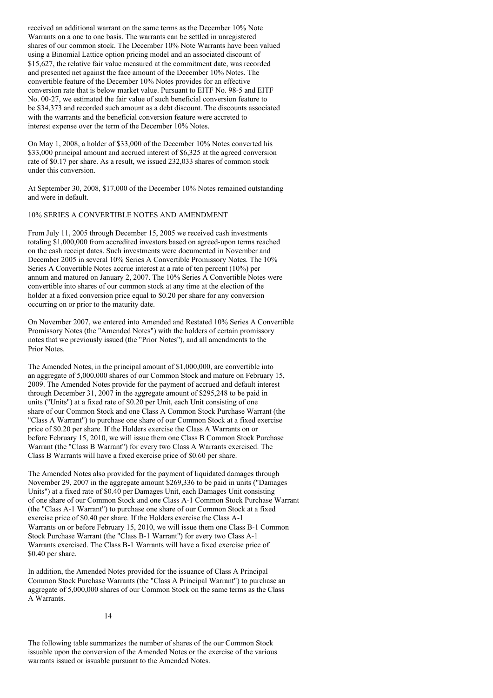received an additional warrant on the same terms as the December 10% Note Warrants on a one to one basis. The warrants can be settled in unregistered shares of our common stock. The December 10% Note Warrants have been valued using a Binomial Lattice option pricing model and an associated discount of \$15,627, the relative fair value measured at the commitment date, was recorded and presented net against the face amount of the December 10% Notes. The convertible feature of the December 10% Notes provides for an effective conversion rate that is below market value. Pursuant to EITF No. 98-5 and EITF No. 00-27, we estimated the fair value of such beneficial conversion feature to be \$34,373 and recorded such amount as a debt discount. The discounts associated with the warrants and the beneficial conversion feature were accreted to interest expense over the term of the December 10% Notes.

On May 1, 2008, a holder of \$33,000 of the December 10% Notes converted his \$33,000 principal amount and accrued interest of \$6,325 at the agreed conversion rate of \$0.17 per share. As a result, we issued 232,033 shares of common stock under this conversion.

At September 30, 2008, \$17,000 of the December 10% Notes remained outstanding and were in default.

## 10% SERIES A CONVERTIBLE NOTES AND AMENDMENT

From July 11, 2005 through December 15, 2005 we received cash investments totaling \$1,000,000 from accredited investors based on agreed-upon terms reached on the cash receipt dates. Such investments were documented in November and December 2005 in several 10% Series A Convertible Promissory Notes. The 10% Series A Convertible Notes accrue interest at a rate of ten percent (10%) per annum and matured on January 2, 2007. The 10% Series A Convertible Notes were convertible into shares of our common stock at any time at the election of the holder at a fixed conversion price equal to \$0.20 per share for any conversion occurring on or prior to the maturity date.

On November 2007, we entered into Amended and Restated 10% Series A Convertible Promissory Notes (the "Amended Notes") with the holders of certain promissory notes that we previously issued (the "Prior Notes"), and all amendments to the Prior Notes.

The Amended Notes, in the principal amount of \$1,000,000, are convertible into an aggregate of 5,000,000 shares of our Common Stock and mature on February 15, 2009. The Amended Notes provide for the payment of accrued and default interest through December 31, 2007 in the aggregate amount of \$295,248 to be paid in units ("Units") at a fixed rate of \$0.20 per Unit, each Unit consisting of one share of our Common Stock and one Class A Common Stock Purchase Warrant (the "Class A Warrant") to purchase one share of our Common Stock at a fixed exercise price of \$0.20 per share. If the Holders exercise the Class A Warrants on or before February 15, 2010, we will issue them one Class B Common Stock Purchase Warrant (the "Class B Warrant") for every two Class A Warrants exercised. The Class B Warrants will have a fixed exercise price of \$0.60 per share.

The Amended Notes also provided for the payment of liquidated damages through November 29, 2007 in the aggregate amount \$269,336 to be paid in units ("Damages Units") at a fixed rate of \$0.40 per Damages Unit, each Damages Unit consisting of one share of our Common Stock and one Class A-1 Common Stock Purchase Warrant (the "Class A-1 Warrant") to purchase one share of our Common Stock at a fixed exercise price of \$0.40 per share. If the Holders exercise the Class A-1 Warrants on or before February 15, 2010, we will issue them one Class B-1 Common Stock Purchase Warrant (the "Class B-1 Warrant") for every two Class A-1 Warrants exercised. The Class B-1 Warrants will have a fixed exercise price of \$0.40 per share.

In addition, the Amended Notes provided for the issuance of Class A Principal Common Stock Purchase Warrants (the "Class A Principal Warrant") to purchase an aggregate of 5,000,000 shares of our Common Stock on the same terms as the Class A Warrants.

14

The following table summarizes the number of shares of the our Common Stock issuable upon the conversion of the Amended Notes or the exercise of the various warrants issued or issuable pursuant to the Amended Notes.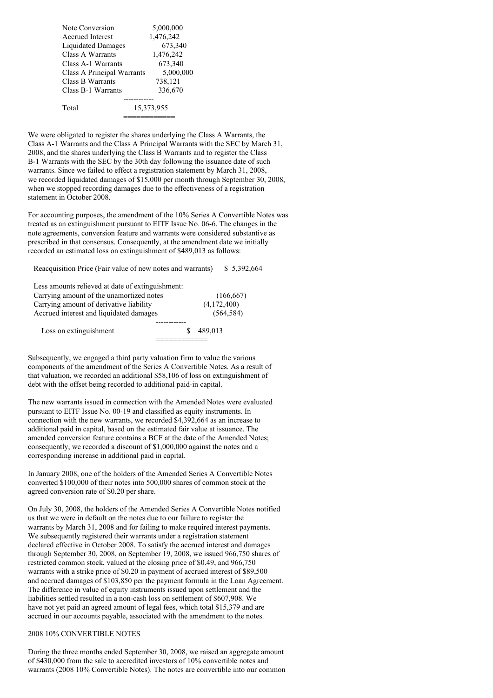| Note Conversion            | 5,000,000  |
|----------------------------|------------|
| <b>Accrued Interest</b>    | 1,476,242  |
| Liquidated Damages         | 673,340    |
| Class A Warrants           | 1,476,242  |
| Class A-1 Warrants         | 673,340    |
| Class A Principal Warrants | 5,000,000  |
| Class B Warrants           | 738,121    |
| Class B-1 Warrants         | 336,670    |
|                            |            |
| Total                      | 15,373,955 |
|                            |            |

We were obligated to register the shares underlying the Class A Warrants, the Class A-1 Warrants and the Class A Principal Warrants with the SEC by March 31, 2008, and the shares underlying the Class  $\overline{B}$  Warrants and to register the Class B-1 Warrants with the SEC by the 30th day following the issuance date of such warrants. Since we failed to effect a registration statement by March 31, 2008, we recorded liquidated damages of \$15,000 per month through September 30, 2008, when we stopped recording damages due to the effectiveness of a registration statement in October 2008.

For accounting purposes, the amendment of the 10% Series A Convertible Notes was treated as an extinguishment pursuant to EITF Issue No. 06-6. The changes in the note agreements, conversion feature and warrants were considered substantive as prescribed in that consensus. Consequently, at the amendment date we initially recorded an estimated loss on extinguishment of \$489,013 as follows:

Reacquisition Price (Fair value of new notes and warrants) \$ 5,392,664

| Less amounts relieved at date of extinguishment: |   |             |
|--------------------------------------------------|---|-------------|
| Carrying amount of the unamortized notes         |   | (166, 667)  |
| Carrying amount of derivative liability          |   | (4,172,400) |
| Accrued interest and liquidated damages          |   | (564, 584)  |
|                                                  |   |             |
| Loss on extinguishment                           | S | 489.013     |
|                                                  |   |             |

Subsequently, we engaged a third party valuation firm to value the various components of the amendment of the Series A Convertible Notes. As a result of that valuation, we recorded an additional \$58,106 of loss on extinguishment of debt with the offset being recorded to additional paid-in capital.

The new warrants issued in connection with the Amended Notes were evaluated pursuant to EITF Issue No. 00-19 and classified as equity instruments. In connection with the new warrants, we recorded \$4,392,664 as an increase to additional paid in capital, based on the estimated fair value at issuance. The amended conversion feature contains a BCF at the date of the Amended Notes; consequently, we recorded a discount of \$1,000,000 against the notes and a corresponding increase in additional paid in capital.

In January 2008, one of the holders of the Amended Series A Convertible Notes converted \$100,000 of their notes into 500,000 shares of common stock at the agreed conversion rate of \$0.20 per share.

On July 30, 2008, the holders of the Amended Series A Convertible Notes notified us that we were in default on the notes due to our failure to register the warrants by March 31, 2008 and for failing to make required interest payments. We subsequently registered their warrants under a registration statement declared effective in October 2008. To satisfy the accrued interest and damages through September 30, 2008, on September 19, 2008, we issued 966,750 shares of restricted common stock, valued at the closing price of \$0.49, and 966,750 warrants with a strike price of \$0.20 in payment of accrued interest of \$89,500 and accrued damages of \$103,850 per the payment formula in the Loan Agreement. The difference in value of equity instruments issued upon settlement and the liabilities settled resulted in a non-cash loss on settlement of \$607,908. We have not yet paid an agreed amount of legal fees, which total \$15,379 and are accrued in our accounts payable, associated with the amendment to the notes.

## 2008 10% CONVERTIBLE NOTES

During the three months ended September 30, 2008, we raised an aggregate amount of \$430,000 from the sale to accredited investors of 10% convertible notes and warrants (2008 10% Convertible Notes). The notes are convertible into our common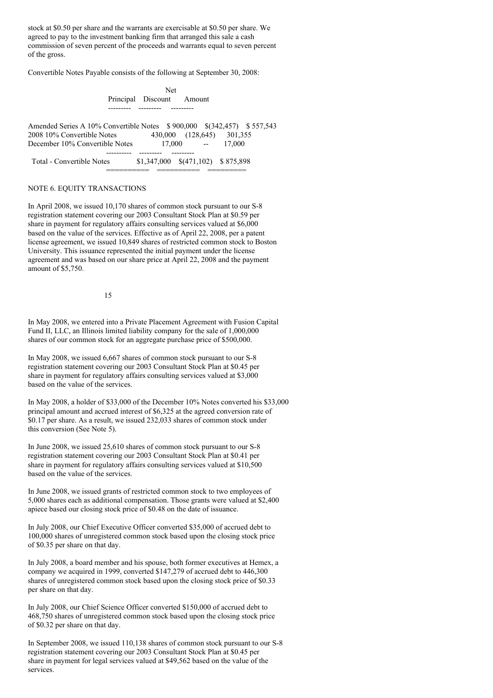stock at \$0.50 per share and the warrants are exercisable at \$0.50 per share. We agreed to pay to the investment banking firm that arranged this sale a cash commission of seven percent of the proceeds and warrants equal to seven percent of the gross.

Convertible Notes Payable consists of the following at September 30, 2008:

|                                                                        | <b>Net</b>                |                                      |        |  |
|------------------------------------------------------------------------|---------------------------|--------------------------------------|--------|--|
|                                                                        | Principal Discount Amount |                                      |        |  |
|                                                                        |                           |                                      |        |  |
| Amended Series A 10% Convertible Notes \$900,000 \$(342,457) \$557,543 |                           |                                      |        |  |
| 2008 10% Convertible Notes                                             |                           | 430,000 (128,645) 301,355            |        |  |
| December 10% Convertible Notes                                         |                           | $17,000$ --                          | 17.000 |  |
|                                                                        |                           |                                      |        |  |
| Total - Convertible Notes                                              |                           | $$1,347,000$ $$(471,102)$ $$875,898$ |        |  |

========== ========== =========

#### NOTE 6. EQUITY TRANSACTIONS

In April 2008, we issued 10,170 shares of common stock pursuant to our S-8 registration statement covering our 2003 Consultant Stock Plan at \$0.59 per share in payment for regulatory affairs consulting services valued at \$6,000 based on the value of the services. Effective as of April 22, 2008, per a patent license agreement, we issued 10,849 shares of restricted common stock to Boston University. This issuance represented the initial payment under the license agreement and was based on our share price at April 22, 2008 and the payment amount of \$5,750.

15

In May 2008, we entered into a Private Placement Agreement with Fusion Capital Fund II, LLC, an Illinois limited liability company for the sale of 1,000,000 shares of our common stock for an aggregate purchase price of \$500,000.

In May 2008, we issued 6,667 shares of common stock pursuant to our S-8 registration statement covering our 2003 Consultant Stock Plan at \$0.45 per share in payment for regulatory affairs consulting services valued at \$3,000 based on the value of the services.

In May 2008, a holder of \$33,000 of the December 10% Notes converted his \$33,000 principal amount and accrued interest of \$6,325 at the agreed conversion rate of \$0.17 per share. As a result, we issued 232,033 shares of common stock under this conversion (See Note 5).

In June 2008, we issued 25,610 shares of common stock pursuant to our S-8 registration statement covering our 2003 Consultant Stock Plan at \$0.41 per share in payment for regulatory affairs consulting services valued at \$10,500 based on the value of the services.

In June 2008, we issued grants of restricted common stock to two employees of 5,000 shares each as additional compensation. Those grants were valued at \$2,400 apiece based our closing stock price of \$0.48 on the date of issuance.

In July 2008, our Chief Executive Officer converted \$35,000 of accrued debt to 100,000 shares of unregistered common stock based upon the closing stock price of \$0.35 per share on that day.

In July 2008, a board member and his spouse, both former executives at Hemex, a company we acquired in 1999, converted \$147,279 of accrued debt to 446,300 shares of unregistered common stock based upon the closing stock price of \$0.33 per share on that day.

In July 2008, our Chief Science Officer converted \$150,000 of accrued debt to 468,750 shares of unregistered common stock based upon the closing stock price of \$0.32 per share on that day.

In September 2008, we issued 110,138 shares of common stock pursuant to our S-8 registration statement covering our 2003 Consultant Stock Plan at \$0.45 per share in payment for legal services valued at \$49,562 based on the value of the services.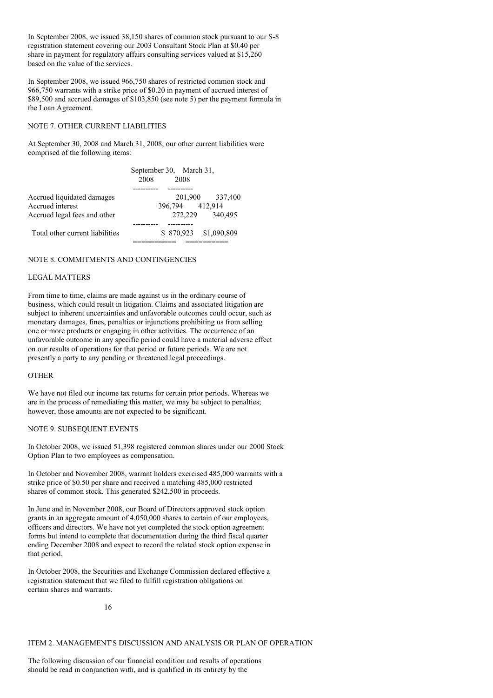In September 2008, we issued 38,150 shares of common stock pursuant to our S-8 registration statement covering our 2003 Consultant Stock Plan at \$0.40 per share in payment for regulatory affairs consulting services valued at \$15,260 based on the value of the services.

In September 2008, we issued 966,750 shares of restricted common stock and 966,750 warrants with a strike price of \$0.20 in payment of accrued interest of \$89,500 and accrued damages of \$103,850 (see note 5) per the payment formula in the Loan Agreement.

### NOTE 7. OTHER CURRENT LIABILITIES

At September 30, 2008 and March 31, 2008, our other current liabilities were comprised of the following items:

|                                                | September 30, March 31,<br>2008<br>2008 |
|------------------------------------------------|-----------------------------------------|
| Accrued liquidated damages<br>Accrued interest | 201,900 337,400<br>396,794 412,914      |
| Accrued legal fees and other                   | 272,229<br>340,495                      |
| Total other current liabilities                | \$870,923 \$1,090,809                   |

## NOTE 8. COMMITMENTS AND CONTINGENCIES

## LEGAL MATTERS

From time to time, claims are made against us in the ordinary course of business, which could result in litigation. Claims and associated litigation are subject to inherent uncertainties and unfavorable outcomes could occur, such as monetary damages, fines, penalties or injunctions prohibiting us from selling one or more products or engaging in other activities. The occurrence of an unfavorable outcome in any specific period could have a material adverse effect on our results of operations for that period or future periods. We are not presently a party to any pending or threatened legal proceedings.

### **OTHER**

We have not filed our income tax returns for certain prior periods. Whereas we are in the process of remediating this matter, we may be subject to penalties; however, those amounts are not expected to be significant.

#### NOTE 9. SUBSEQUENT EVENTS

In October 2008, we issued 51,398 registered common shares under our 2000 Stock Option Plan to two employees as compensation.

In October and November 2008, warrant holders exercised 485,000 warrants with a strike price of \$0.50 per share and received a matching 485,000 restricted shares of common stock. This generated \$242,500 in proceeds.

In June and in November 2008, our Board of Directors approved stock option grants in an aggregate amount of 4,050,000 shares to certain of our employees, officers and directors. We have not yet completed the stock option agreement forms but intend to complete that documentation during the third fiscal quarter ending December 2008 and expect to record the related stock option expense in that period.

In October 2008, the Securities and Exchange Commission declared effective a registration statement that we filed to fulfill registration obligations on certain shares and warrants.

ITEM 2. MANAGEMENT'S DISCUSSION AND ANALYSIS OR PLAN OF OPERATION

The following discussion of our financial condition and results of operations should be read in conjunction with, and is qualified in its entirety by the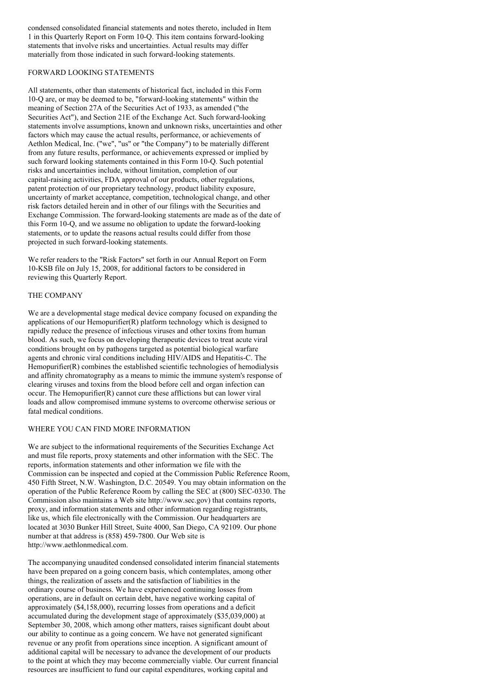condensed consolidated financial statements and notes thereto, included in Item 1 in this Quarterly Report on Form 10-Q. This item contains forward-looking statements that involve risks and uncertainties. Actual results may differ materially from those indicated in such forward-looking statements.

## FORWARD LOOKING STATEMENTS

All statements, other than statements of historical fact, included in this Form 10-Q are, or may be deemed to be, "forward-looking statements" within the meaning of Section 27A of the Securities Act of 1933, as amended ("the Securities Act"), and Section 21E of the Exchange Act. Such forward-looking statements involve assumptions, known and unknown risks, uncertainties and other factors which may cause the actual results, performance, or achievements of Aethlon Medical, Inc. ("we", "us" or "the Company") to be materially different from any future results, performance, or achievements expressed or implied by such forward looking statements contained in this Form 10-Q. Such potential risks and uncertainties include, without limitation, completion of our capital-raising activities, FDA approval of our products, other regulations, patent protection of our proprietary technology, product liability exposure, uncertainty of market acceptance, competition, technological change, and other risk factors detailed herein and in other of our filings with the Securities and Exchange Commission. The forward-looking statements are made as of the date of this Form 10-Q, and we assume no obligation to update the forward-looking statements, or to update the reasons actual results could differ from those projected in such forward-looking statements.

We refer readers to the "Risk Factors" set forth in our Annual Report on Form 10-KSB file on July 15, 2008, for additional factors to be considered in reviewing this Quarterly Report.

## THE COMPANY

We are a developmental stage medical device company focused on expanding the applications of our Hemopurifier(R) platform technology which is designed to rapidly reduce the presence of infectious viruses and other toxins from human blood. As such, we focus on developing therapeutic devices to treat acute viral conditions brought on by pathogens targeted as potential biological warfare agents and chronic viral conditions including HIV/AIDS and Hepatitis-C. The Hemopurifier(R) combines the established scientific technologies of hemodialysis and affinity chromatography as a means to mimic the immune system's response of clearing viruses and toxins from the blood before cell and organ infection can occur. The Hemopurifier(R) cannot cure these afflictions but can lower viral loads and allow compromised immune systems to overcome otherwise serious or fatal medical conditions.

### WHERE YOU CAN FIND MORE INFORMATION

We are subject to the informational requirements of the Securities Exchange Act and must file reports, proxy statements and other information with the SEC. The reports, information statements and other information we file with the Commission can be inspected and copied at the Commission Public Reference Room, 450 Fifth Street, N.W. Washington, D.C. 20549. You may obtain information on the operation of the Public Reference Room by calling the SEC at (800) SEC-0330. The Commission also maintains a Web site http://www.sec.gov) that contains reports, proxy, and information statements and other information regarding registrants, like us, which file electronically with the Commission. Our headquarters are located at 3030 Bunker Hill Street, Suite 4000, San Diego, CA 92109. Our phone number at that address is (858) 459-7800. Our Web site is http://www.aethlonmedical.com.

The accompanying unaudited condensed consolidated interim financial statements have been prepared on a going concern basis, which contemplates, among other things, the realization of assets and the satisfaction of liabilities in the ordinary course of business. We have experienced continuing losses from operations, are in default on certain debt, have negative working capital of approximately (\$4,158,000), recurring losses from operations and a deficit accumulated during the development stage of approximately (\$35,039,000) at September 30, 2008, which among other matters, raises significant doubt about our ability to continue as a going concern. We have not generated significant revenue or any profit from operations since inception. A significant amount of additional capital will be necessary to advance the development of our products to the point at which they may become commercially viable. Our current financial resources are insufficient to fund our capital expenditures, working capital and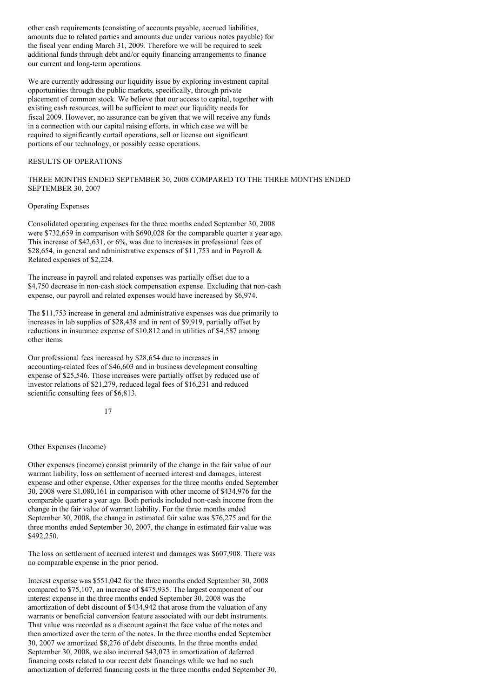other cash requirements (consisting of accounts payable, accrued liabilities, amounts due to related parties and amounts due under various notes payable) for the fiscal year ending March 31, 2009. Therefore we will be required to seek additional funds through debt and/or equity financing arrangements to finance our current and long-term operations.

We are currently addressing our liquidity issue by exploring investment capital opportunities through the public markets, specifically, through private placement of common stock. We believe that our access to capital, together with existing cash resources, will be sufficient to meet our liquidity needs for fiscal 2009. However, no assurance can be given that we will receive any funds in a connection with our capital raising efforts, in which case we will be required to significantly curtail operations, sell or license out significant portions of our technology, or possibly cease operations.

## RESULTS OF OPERATIONS

## THREE MONTHS ENDED SEPTEMBER 30, 2008 COMPARED TO THE THREE MONTHS ENDED SEPTEMBER 30, 2007

#### Operating Expenses

Consolidated operating expenses for the three months ended September 30, 2008 were \$732,659 in comparison with \$690,028 for the comparable quarter a year ago. This increase of \$42,631, or 6%, was due to increases in professional fees of \$28,654, in general and administrative expenses of \$11,753 and in Payroll  $\&$ Related expenses of \$2,224.

The increase in payroll and related expenses was partially offset due to a \$4,750 decrease in non-cash stock compensation expense. Excluding that non-cash expense, our payroll and related expenses would have increased by \$6,974.

The \$11,753 increase in general and administrative expenses was due primarily to increases in lab supplies of \$28,438 and in rent of \$9,919, partially offset by reductions in insurance expense of \$10,812 and in utilities of \$4,587 among other items.

Our professional fees increased by \$28,654 due to increases in accounting-related fees of \$46,603 and in business development consulting expense of \$25,546. Those increases were partially offset by reduced use of investor relations of \$21,279, reduced legal fees of \$16,231 and reduced scientific consulting fees of \$6,813.

#### 17

#### Other Expenses (Income)

Other expenses (income) consist primarily of the change in the fair value of our warrant liability, loss on settlement of accrued interest and damages, interest expense and other expense. Other expenses for the three months ended September 30, 2008 were \$1,080,161 in comparison with other income of \$434,976 for the comparable quarter a year ago. Both periods included non-cash income from the change in the fair value of warrant liability. For the three months ended September 30, 2008, the change in estimated fair value was \$76,275 and for the three months ended September 30, 2007, the change in estimated fair value was \$492,250.

The loss on settlement of accrued interest and damages was \$607,908. There was no comparable expense in the prior period.

Interest expense was \$551,042 for the three months ended September 30, 2008 compared to \$75,107, an increase of \$475,935. The largest component of our interest expense in the three months ended September 30, 2008 was the amortization of debt discount of \$434,942 that arose from the valuation of any warrants or beneficial conversion feature associated with our debt instruments. That value was recorded as a discount against the face value of the notes and then amortized over the term of the notes. In the three months ended September 30, 2007 we amortized \$8,276 of debt discounts. In the three months ended September 30, 2008, we also incurred \$43,073 in amortization of deferred financing costs related to our recent debt financings while we had no such amortization of deferred financing costs in the three months ended September 30,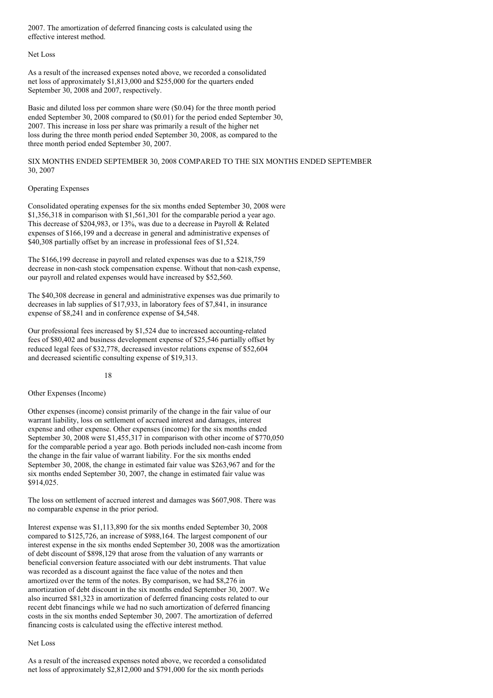2007. The amortization of deferred financing costs is calculated using the effective interest method.

#### Net Loss

As a result of the increased expenses noted above, we recorded a consolidated net loss of approximately \$1,813,000 and \$255,000 for the quarters ended September 30, 2008 and 2007, respectively.

Basic and diluted loss per common share were (\$0.04) for the three month period ended September 30, 2008 compared to (\$0.01) for the period ended September 30, 2007. This increase in loss per share was primarily a result of the higher net loss during the three month period ended September 30, 2008, as compared to the three month period ended September 30, 2007.

SIX MONTHS ENDED SEPTEMBER 30, 2008 COMPARED TO THE SIX MONTHS ENDED SEPTEMBER 30, 2007

#### Operating Expenses

Consolidated operating expenses for the six months ended September 30, 2008 were \$1,356,318 in comparison with \$1,561,301 for the comparable period a year ago. This decrease of \$204,983, or 13%, was due to a decrease in Payroll & Related expenses of \$166,199 and a decrease in general and administrative expenses of \$40,308 partially offset by an increase in professional fees of \$1,524.

The \$166,199 decrease in payroll and related expenses was due to a \$218,759 decrease in non-cash stock compensation expense. Without that non-cash expense, our payroll and related expenses would have increased by \$52,560.

The \$40,308 decrease in general and administrative expenses was due primarily to decreases in lab supplies of \$17,933, in laboratory fees of \$7,841, in insurance expense of \$8,241 and in conference expense of \$4,548.

Our professional fees increased by \$1,524 due to increased accounting-related fees of \$80,402 and business development expense of \$25,546 partially offset by reduced legal fees of \$32,778, decreased investor relations expense of \$52,604 and decreased scientific consulting expense of \$19,313.

### 18

### Other Expenses (Income)

Other expenses (income) consist primarily of the change in the fair value of our warrant liability, loss on settlement of accrued interest and damages, interest expense and other expense. Other expenses (income) for the six months ended September 30, 2008 were \$1,455,317 in comparison with other income of \$770,050 for the comparable period a year ago. Both periods included non-cash income from the change in the fair value of warrant liability. For the six months ended September 30, 2008, the change in estimated fair value was \$263,967 and for the six months ended September 30, 2007, the change in estimated fair value was \$914,025.

The loss on settlement of accrued interest and damages was \$607,908. There was no comparable expense in the prior period.

Interest expense was \$1,113,890 for the six months ended September 30, 2008 compared to \$125,726, an increase of \$988,164. The largest component of our interest expense in the six months ended September 30, 2008 was the amortization of debt discount of \$898,129 that arose from the valuation of any warrants or beneficial conversion feature associated with our debt instruments. That value was recorded as a discount against the face value of the notes and then amortized over the term of the notes. By comparison, we had \$8,276 in amortization of debt discount in the six months ended September 30, 2007. We also incurred \$81,323 in amortization of deferred financing costs related to our recent debt financings while we had no such amortization of deferred financing costs in the six months ended September 30, 2007. The amortization of deferred financing costs is calculated using the effective interest method.

### Net Loss

As a result of the increased expenses noted above, we recorded a consolidated net loss of approximately \$2,812,000 and \$791,000 for the six month periods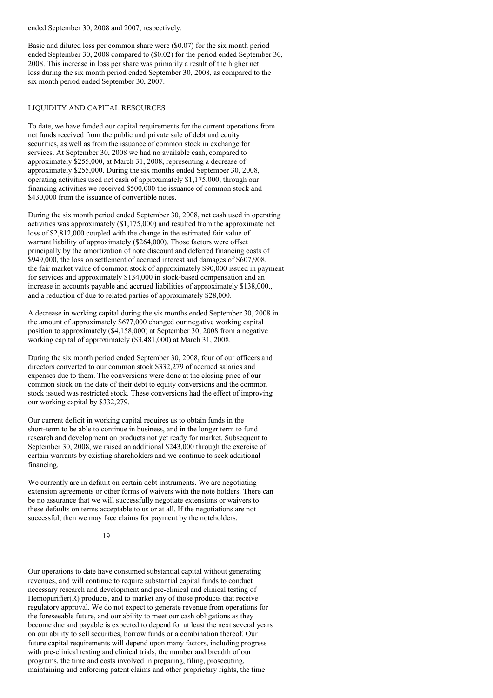ended September 30, 2008 and 2007, respectively.

Basic and diluted loss per common share were (\$0.07) for the six month period ended September 30, 2008 compared to (\$0.02) for the period ended September 30, 2008. This increase in loss per share was primarily a result of the higher net loss during the six month period ended September 30, 2008, as compared to the six month period ended September 30, 2007.

## LIQUIDITY AND CAPITAL RESOURCES

To date, we have funded our capital requirements for the current operations from net funds received from the public and private sale of debt and equity securities, as well as from the issuance of common stock in exchange for services. At September 30, 2008 we had no available cash, compared to approximately \$255,000, at March 31, 2008, representing a decrease of approximately \$255,000. During the six months ended September 30, 2008, operating activities used net cash of approximately \$1,175,000, through our financing activities we received \$500,000 the issuance of common stock and \$430,000 from the issuance of convertible notes.

During the six month period ended September 30, 2008, net cash used in operating activities was approximately (\$1,175,000) and resulted from the approximate net loss of \$2,812,000 coupled with the change in the estimated fair value of warrant liability of approximately (\$264,000). Those factors were offset principally by the amortization of note discount and deferred financing costs of \$949,000, the loss on settlement of accrued interest and damages of \$607,908, the fair market value of common stock of approximately \$90,000 issued in payment for services and approximately \$134,000 in stock-based compensation and an increase in accounts payable and accrued liabilities of approximately \$138,000., and a reduction of due to related parties of approximately \$28,000.

A decrease in working capital during the six months ended September 30, 2008 in the amount of approximately \$677,000 changed our negative working capital position to approximately (\$4,158,000) at September 30, 2008 from a negative working capital of approximately (\$3,481,000) at March 31, 2008.

During the six month period ended September 30, 2008, four of our officers and directors converted to our common stock \$332,279 of accrued salaries and expenses due to them. The conversions were done at the closing price of our common stock on the date of their debt to equity conversions and the common stock issued was restricted stock. These conversions had the effect of improving our working capital by \$332,279.

Our current deficit in working capital requires us to obtain funds in the short-term to be able to continue in business, and in the longer term to fund research and development on products not yet ready for market. Subsequent to September 30, 2008, we raised an additional \$243,000 through the exercise of certain warrants by existing shareholders and we continue to seek additional financing.

We currently are in default on certain debt instruments. We are negotiating extension agreements or other forms of waivers with the note holders. There can be no assurance that we will successfully negotiate extensions or waivers to these defaults on terms acceptable to us or at all. If the negotiations are not successful, then we may face claims for payment by the noteholders.

19

Our operations to date have consumed substantial capital without generating revenues, and will continue to require substantial capital funds to conduct necessary research and development and pre-clinical and clinical testing of Hemopurifier(R) products, and to market any of those products that receive regulatory approval. We do not expect to generate revenue from operations for the foreseeable future, and our ability to meet our cash obligations as they become due and payable is expected to depend for at least the next several years on our ability to sell securities, borrow funds or a combination thereof. Our future capital requirements will depend upon many factors, including progress with pre-clinical testing and clinical trials, the number and breadth of our programs, the time and costs involved in preparing, filing, prosecuting, maintaining and enforcing patent claims and other proprietary rights, the time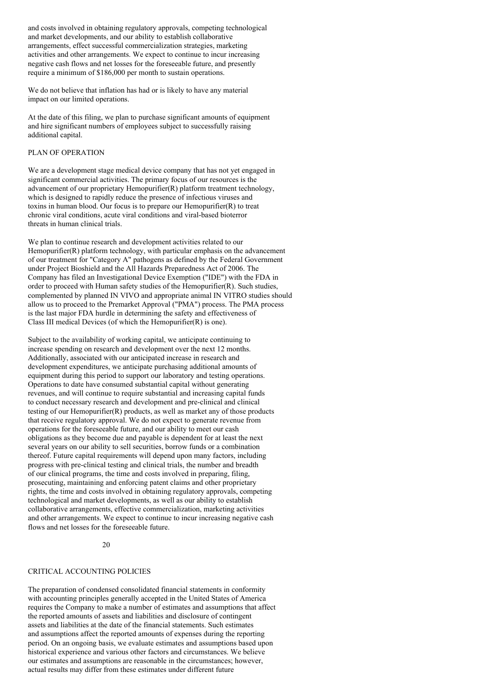and costs involved in obtaining regulatory approvals, competing technological and market developments, and our ability to establish collaborative arrangements, effect successful commercialization strategies, marketing activities and other arrangements. We expect to continue to incur increasing negative cash flows and net losses for the foreseeable future, and presently require a minimum of \$186,000 per month to sustain operations.

We do not believe that inflation has had or is likely to have any material impact on our limited operations.

At the date of this filing, we plan to purchase significant amounts of equipment and hire significant numbers of employees subject to successfully raising additional capital.

### PLAN OF OPERATION

We are a development stage medical device company that has not yet engaged in significant commercial activities. The primary focus of our resources is the advancement of our proprietary Hemopurifier(R) platform treatment technology, which is designed to rapidly reduce the presence of infectious viruses and toxins in human blood. Our focus is to prepare our Hemopurifier(R) to treat chronic viral conditions, acute viral conditions and viral-based bioterror threats in human clinical trials.

We plan to continue research and development activities related to our Hemopurifier $(R)$  platform technology, with particular emphasis on the advancement of our treatment for "Category A" pathogens as defined by the Federal Government under Project Bioshield and the All Hazards Preparedness Act of 2006. The Company has filed an Investigational Device Exemption ("IDE") with the FDA in order to proceed with Human safety studies of the Hemopurifier(R). Such studies, complemented by planned IN VIVO and appropriate animal IN VITRO studies should allow us to proceed to the Premarket Approval ("PMA") process. The PMA process is the last major FDA hurdle in determining the safety and effectiveness of Class III medical Devices (of which the Hemopurifier(R) is one).

Subject to the availability of working capital, we anticipate continuing to increase spending on research and development over the next 12 months. Additionally, associated with our anticipated increase in research and development expenditures, we anticipate purchasing additional amounts of equipment during this period to support our laboratory and testing operations. Operations to date have consumed substantial capital without generating revenues, and will continue to require substantial and increasing capital funds to conduct necessary research and development and pre-clinical and clinical testing of our Hemopurifier(R) products, as well as market any of those products that receive regulatory approval. We do not expect to generate revenue from operations for the foreseeable future, and our ability to meet our cash obligations as they become due and payable is dependent for at least the next several years on our ability to sell securities, borrow funds or a combination thereof. Future capital requirements will depend upon many factors, including progress with pre-clinical testing and clinical trials, the number and breadth of our clinical programs, the time and costs involved in preparing, filing, prosecuting, maintaining and enforcing patent claims and other proprietary rights, the time and costs involved in obtaining regulatory approvals, competing technological and market developments, as well as our ability to establish collaborative arrangements, effective commercialization, marketing activities and other arrangements. We expect to continue to incur increasing negative cash flows and net losses for the foreseeable future.

## $20$

## CRITICAL ACCOUNTING POLICIES

The preparation of condensed consolidated financial statements in conformity with accounting principles generally accepted in the United States of America requires the Company to make a number of estimates and assumptions that affect the reported amounts of assets and liabilities and disclosure of contingent assets and liabilities at the date of the financial statements. Such estimates and assumptions affect the reported amounts of expenses during the reporting period. On an ongoing basis, we evaluate estimates and assumptions based upon historical experience and various other factors and circumstances. We believe our estimates and assumptions are reasonable in the circumstances; however, actual results may differ from these estimates under different future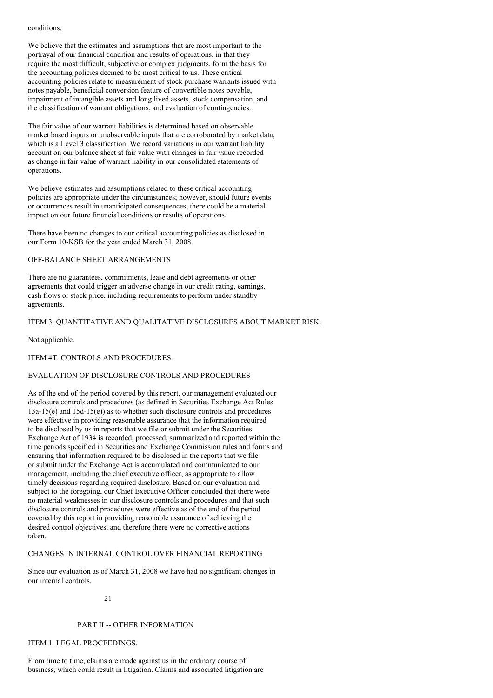conditions.

We believe that the estimates and assumptions that are most important to the portrayal of our financial condition and results of operations, in that they require the most difficult, subjective or complex judgments, form the basis for the accounting policies deemed to be most critical to us. These critical accounting policies relate to measurement of stock purchase warrants issued with notes payable, beneficial conversion feature of convertible notes payable, impairment of intangible assets and long lived assets, stock compensation, and the classification of warrant obligations, and evaluation of contingencies.

The fair value of our warrant liabilities is determined based on observable market based inputs or unobservable inputs that are corroborated by market data, which is a Level 3 classification. We record variations in our warrant liability account on our balance sheet at fair value with changes in fair value recorded as change in fair value of warrant liability in our consolidated statements of operations.

We believe estimates and assumptions related to these critical accounting policies are appropriate under the circumstances; however, should future events or occurrences result in unanticipated consequences, there could be a material impact on our future financial conditions or results of operations.

There have been no changes to our critical accounting policies as disclosed in our Form 10-KSB for the year ended March 31, 2008.

## OFF-BALANCE SHEET ARRANGEMENTS

There are no guarantees, commitments, lease and debt agreements or other agreements that could trigger an adverse change in our credit rating, earnings, cash flows or stock price, including requirements to perform under standby agreements.

## ITEM 3. QUANTITATIVE AND QUALITATIVE DISCLOSURES ABOUT MARKET RISK.

Not applicable.

ITEM 4T. CONTROLS AND PROCEDURES.

### EVALUATION OF DISCLOSURE CONTROLS AND PROCEDURES

As of the end of the period covered by this report, our management evaluated our disclosure controls and procedures (as defined in Securities Exchange Act Rules 13a-15(e) and 15d-15(e)) as to whether such disclosure controls and procedures were effective in providing reasonable assurance that the information required to be disclosed by us in reports that we file or submit under the Securities Exchange Act of 1934 is recorded, processed, summarized and reported within the time periods specified in Securities and Exchange Commission rules and forms and ensuring that information required to be disclosed in the reports that we file or submit under the Exchange Act is accumulated and communicated to our management, including the chief executive officer, as appropriate to allow timely decisions regarding required disclosure. Based on our evaluation and subject to the foregoing, our Chief Executive Officer concluded that there were no material weaknesses in our disclosure controls and procedures and that such disclosure controls and procedures were effective as of the end of the period covered by this report in providing reasonable assurance of achieving the desired control objectives, and therefore there were no corrective actions taken.

## CHANGES IN INTERNAL CONTROL OVER FINANCIAL REPORTING

Since our evaluation as of March 31, 2008 we have had no significant changes in our internal controls.

21

#### PART II -- OTHER INFORMATION

## ITEM 1. LEGAL PROCEEDINGS.

From time to time, claims are made against us in the ordinary course of business, which could result in litigation. Claims and associated litigation are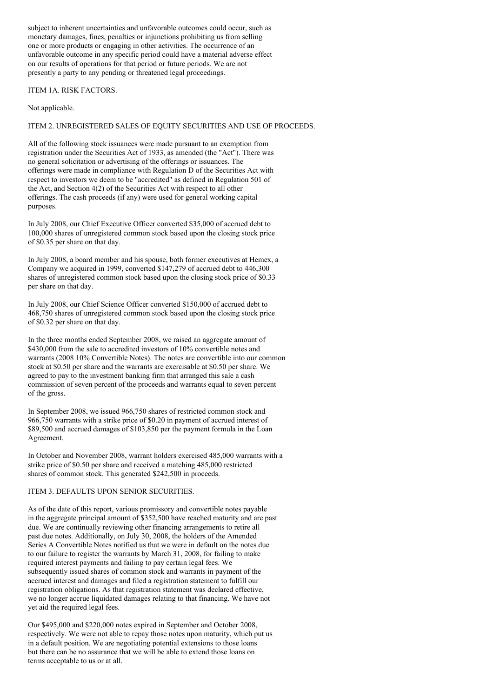subject to inherent uncertainties and unfavorable outcomes could occur, such as monetary damages, fines, penalties or injunctions prohibiting us from selling one or more products or engaging in other activities. The occurrence of an unfavorable outcome in any specific period could have a material adverse effect on our results of operations for that period or future periods. We are not presently a party to any pending or threatened legal proceedings.

### ITEM 1A. RISK FACTORS.

Not applicable.

# ITEM 2. UNREGISTERED SALES OF EQUITY SECURITIES AND USE OF PROCEEDS.

All of the following stock issuances were made pursuant to an exemption from registration under the Securities Act of 1933, as amended (the "Act"). There was no general solicitation or advertising of the offerings or issuances. The offerings were made in compliance with Regulation D of the Securities Act with respect to investors we deem to be "accredited" as defined in Regulation 501 of the Act, and Section 4(2) of the Securities Act with respect to all other offerings. The cash proceeds (if any) were used for general working capital purposes.

In July 2008, our Chief Executive Officer converted \$35,000 of accrued debt to 100,000 shares of unregistered common stock based upon the closing stock price of \$0.35 per share on that day.

In July 2008, a board member and his spouse, both former executives at Hemex, a Company we acquired in 1999, converted \$147,279 of accrued debt to 446,300 shares of unregistered common stock based upon the closing stock price of \$0.33 per share on that day.

In July 2008, our Chief Science Officer converted \$150,000 of accrued debt to 468,750 shares of unregistered common stock based upon the closing stock price of \$0.32 per share on that day.

In the three months ended September 2008, we raised an aggregate amount of \$430,000 from the sale to accredited investors of 10% convertible notes and warrants (2008 10% Convertible Notes). The notes are convertible into our common stock at \$0.50 per share and the warrants are exercisable at \$0.50 per share. We agreed to pay to the investment banking firm that arranged this sale a cash commission of seven percent of the proceeds and warrants equal to seven percent of the gross.

In September 2008, we issued 966,750 shares of restricted common stock and 966,750 warrants with a strike price of \$0.20 in payment of accrued interest of \$89,500 and accrued damages of \$103,850 per the payment formula in the Loan Agreement.

In October and November 2008, warrant holders exercised 485,000 warrants with a strike price of \$0.50 per share and received a matching 485,000 restricted shares of common stock. This generated \$242,500 in proceeds.

### ITEM 3. DEFAULTS UPON SENIOR SECURITIES.

As of the date of this report, various promissory and convertible notes payable in the aggregate principal amount of \$352,500 have reached maturity and are past due. We are continually reviewing other financing arrangements to retire all past due notes. Additionally, on July 30, 2008, the holders of the Amended Series A Convertible Notes notified us that we were in default on the notes due to our failure to register the warrants by March 31, 2008, for failing to make required interest payments and failing to pay certain legal fees. We subsequently issued shares of common stock and warrants in payment of the accrued interest and damages and filed a registration statement to fulfill our registration obligations. As that registration statement was declared effective, we no longer accrue liquidated damages relating to that financing. We have not yet aid the required legal fees.

Our \$495,000 and \$220,000 notes expired in September and October 2008, respectively. We were not able to repay those notes upon maturity, which put us in a default position. We are negotiating potential extensions to those loans but there can be no assurance that we will be able to extend those loans on terms acceptable to us or at all.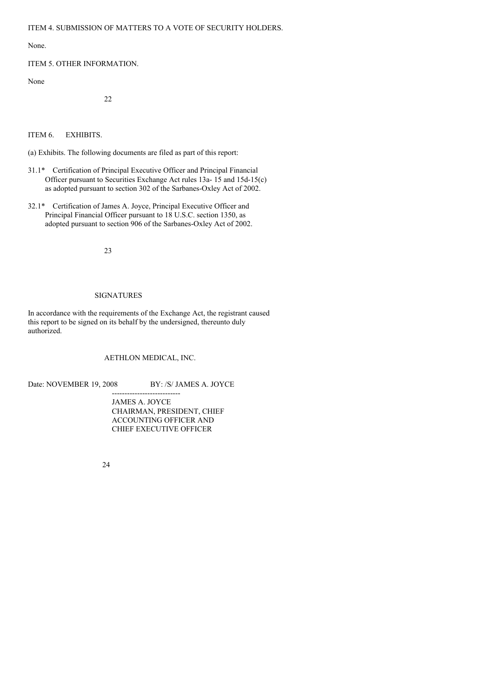None.

## ITEM 5. OTHER INFORMATION.

None

22

ITEM 6. EXHIBITS.

(a) Exhibits. The following documents are filed as part of this report:

- 31.1\* Certification of Principal Executive Officer and Principal Financial Officer pursuant to Securities Exchange Act rules 13a- 15 and 15d-15(c) as adopted pursuant to section 302 of the Sarbanes-Oxley Act of 2002.
- 32.1\* Certification of James A. Joyce, Principal Executive Officer and Principal Financial Officer pursuant to 18 U.S.C. section 1350, as adopted pursuant to section 906 of the Sarbanes-Oxley Act of 2002.

23

## SIGNATURES

In accordance with the requirements of the Exchange Act, the registrant caused this report to be signed on its behalf by the undersigned, thereunto duly authorized.

AETHLON MEDICAL, INC.

Date: NOVEMBER 19, 2008 BY: /S/ JAMES A. JOYCE

--------------------------- JAMES A. JOYCE CHAIRMAN, PRESIDENT, CHIEF ACCOUNTING OFFICER AND CHIEF EXECUTIVE OFFICER

24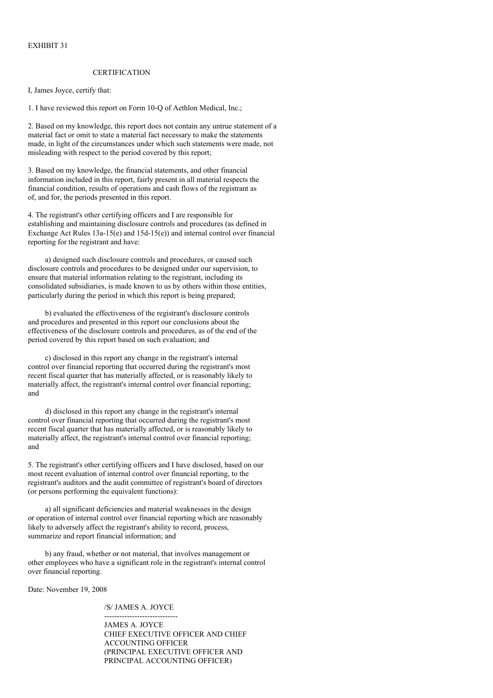### CERTIFICATION

I, James Joyce, certify that:

1. I have reviewed this report on Form 10-Q of Aethlon Medical, Inc.;

2. Based on my knowledge, this report does not contain any untrue statement of a material fact or omit to state a material fact necessary to make the statements made, in light of the circumstances under which such statements were made, not misleading with respect to the period covered by this report;

3. Based on my knowledge, the financial statements, and other financial information included in this report, fairly present in all material respects the financial condition, results of operations and cash flows of the registrant as of, and for, the periods presented in this report.

4. The registrant's other certifying officers and I are responsible for establishing and maintaining disclosure controls and procedures (as defined in Exchange Act Rules 13a-15(e) and 15d-15(e)) and internal control over financial reporting for the registrant and have:

a) designed such disclosure controls and procedures, or caused such disclosure controls and procedures to be designed under our supervision, to ensure that material information relating to the registrant, including its consolidated subsidiaries, is made known to us by others within those entities, particularly during the period in which this report is being prepared;

b) evaluated the effectiveness of the registrant's disclosure controls and procedures and presented in this report our conclusions about the effectiveness of the disclosure controls and procedures, as of the end of the period covered by this report based on such evaluation; and

c) disclosed in this report any change in the registrant's internal control over financial reporting that occurred during the registrant's most recent fiscal quarter that has materially affected, or is reasonably likely to materially affect, the registrant's internal control over financial reporting; and

d) disclosed in this report any change in the registrant's internal control over financial reporting that occurred during the registrant's most recent fiscal quarter that has materially affected, or is reasonably likely to materially affect, the registrant's internal control over financial reporting; and

5. The registrant's other certifying officers and I have disclosed, based on our most recent evaluation of internal control over financial reporting, to the registrant's auditors and the audit committee of registrant's board of directors (or persons performing the equivalent functions):

a) all significant deficiencies and material weaknesses in the design or operation of internal control over financial reporting which are reasonably likely to adversely affect the registrant's ability to record, process, summarize and report financial information; and

b) any fraud, whether or not material, that involves management or other employees who have a significant role in the registrant's internal control over financial reporting.

Date: November 19, 2008

/S/ JAMES A. JOYCE -----------------------------

JAMES A. JOYCE CHIEF EXECUTIVE OFFICER AND CHIEF ACCOUNTING OFFICER (PRINCIPAL EXECUTIVE OFFICER AND PRINCIPAL ACCOUNTING OFFICER)